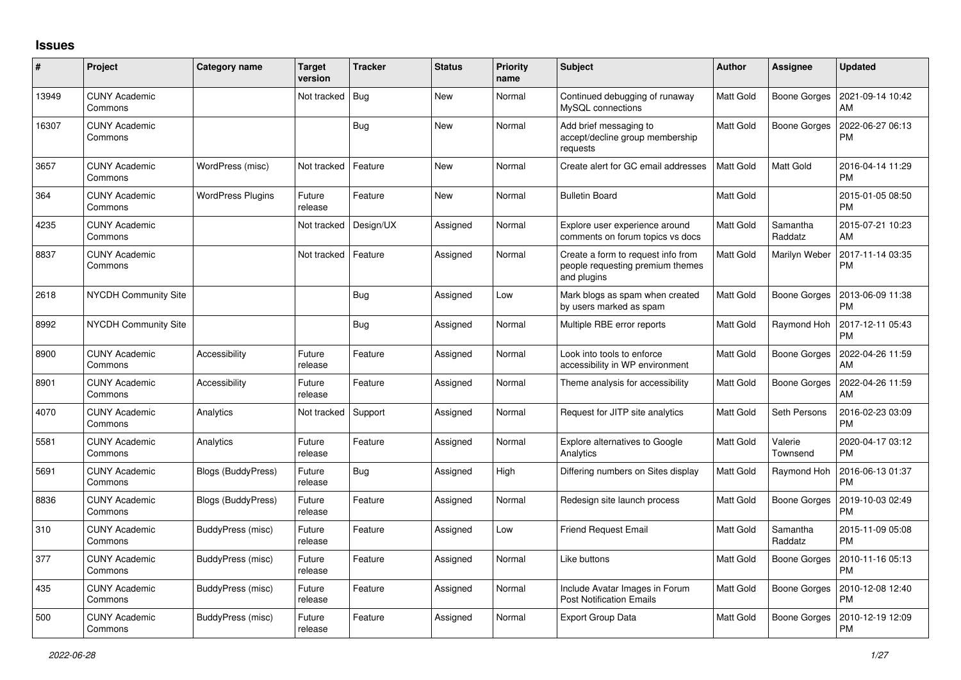## **Issues**

| #     | Project                         | Category name            | <b>Target</b><br>version | <b>Tracker</b> | <b>Status</b> | <b>Priority</b><br>name | <b>Subject</b>                                                                        | <b>Author</b>    | <b>Assignee</b>     | <b>Updated</b>                |
|-------|---------------------------------|--------------------------|--------------------------|----------------|---------------|-------------------------|---------------------------------------------------------------------------------------|------------------|---------------------|-------------------------------|
| 13949 | <b>CUNY Academic</b><br>Commons |                          | Not tracked   Bug        |                | New           | Normal                  | Continued debugging of runaway<br>MvSQL connections                                   | <b>Matt Gold</b> | Boone Gorges        | 2021-09-14 10:42<br>AM        |
| 16307 | <b>CUNY Academic</b><br>Commons |                          |                          | <b>Bug</b>     | <b>New</b>    | Normal                  | Add brief messaging to<br>accept/decline group membership<br>requests                 | Matt Gold        | Boone Gorges        | 2022-06-27 06:13<br><b>PM</b> |
| 3657  | <b>CUNY Academic</b><br>Commons | WordPress (misc)         | Not tracked              | Feature        | New           | Normal                  | Create alert for GC email addresses                                                   | Matt Gold        | Matt Gold           | 2016-04-14 11:29<br><b>PM</b> |
| 364   | <b>CUNY Academic</b><br>Commons | <b>WordPress Plugins</b> | Future<br>release        | Feature        | New           | Normal                  | <b>Bulletin Board</b>                                                                 | Matt Gold        |                     | 2015-01-05 08:50<br><b>PM</b> |
| 4235  | <b>CUNY Academic</b><br>Commons |                          | Not tracked              | Design/UX      | Assigned      | Normal                  | Explore user experience around<br>comments on forum topics vs docs                    | Matt Gold        | Samantha<br>Raddatz | 2015-07-21 10:23<br>AM        |
| 8837  | <b>CUNY Academic</b><br>Commons |                          | Not tracked              | Feature        | Assigned      | Normal                  | Create a form to request info from<br>people requesting premium themes<br>and plugins | Matt Gold        | Marilyn Weber       | 2017-11-14 03:35<br><b>PM</b> |
| 2618  | <b>NYCDH Community Site</b>     |                          |                          | <b>Bug</b>     | Assigned      | Low                     | Mark blogs as spam when created<br>by users marked as spam                            | Matt Gold        | Boone Gorges        | 2013-06-09 11:38<br><b>PM</b> |
| 8992  | <b>NYCDH Community Site</b>     |                          |                          | Bug            | Assigned      | Normal                  | Multiple RBE error reports                                                            | Matt Gold        | Raymond Hoh         | 2017-12-11 05:43<br>PM        |
| 8900  | <b>CUNY Academic</b><br>Commons | Accessibility            | Future<br>release        | Feature        | Assigned      | Normal                  | Look into tools to enforce<br>accessibility in WP environment                         | Matt Gold        | Boone Gorges        | 2022-04-26 11:59<br>AM        |
| 8901  | <b>CUNY Academic</b><br>Commons | <b>Accessibility</b>     | Future<br>release        | Feature        | Assigned      | Normal                  | Theme analysis for accessibility                                                      | Matt Gold        | Boone Gorges        | 2022-04-26 11:59<br>AM        |
| 4070  | <b>CUNY Academic</b><br>Commons | Analytics                | Not tracked              | Support        | Assigned      | Normal                  | Request for JITP site analytics                                                       | <b>Matt Gold</b> | Seth Persons        | 2016-02-23 03:09<br><b>PM</b> |
| 5581  | <b>CUNY Academic</b><br>Commons | Analytics                | Future<br>release        | Feature        | Assigned      | Normal                  | <b>Explore alternatives to Google</b><br>Analytics                                    | Matt Gold        | Valerie<br>Townsend | 2020-04-17 03:12<br><b>PM</b> |
| 5691  | <b>CUNY Academic</b><br>Commons | Blogs (BuddyPress)       | Future<br>release        | Bug            | Assigned      | High                    | Differing numbers on Sites display                                                    | Matt Gold        | Raymond Hoh         | 2016-06-13 01:37<br><b>PM</b> |
| 8836  | <b>CUNY Academic</b><br>Commons | Blogs (BuddyPress)       | Future<br>release        | Feature        | Assigned      | Normal                  | Redesign site launch process                                                          | Matt Gold        | Boone Gorges        | 2019-10-03 02:49<br><b>PM</b> |
| 310   | <b>CUNY Academic</b><br>Commons | BuddyPress (misc)        | Future<br>release        | Feature        | Assigned      | Low                     | <b>Friend Request Email</b>                                                           | Matt Gold        | Samantha<br>Raddatz | 2015-11-09 05:08<br><b>PM</b> |
| 377   | <b>CUNY Academic</b><br>Commons | BuddyPress (misc)        | Future<br>release        | Feature        | Assigned      | Normal                  | Like buttons                                                                          | Matt Gold        | Boone Gorges        | 2010-11-16 05:13<br><b>PM</b> |
| 435   | <b>CUNY Academic</b><br>Commons | BuddyPress (misc)        | Future<br>release        | Feature        | Assigned      | Normal                  | Include Avatar Images in Forum<br><b>Post Notification Emails</b>                     | Matt Gold        | Boone Gorges        | 2010-12-08 12:40<br>PM        |
| 500   | <b>CUNY Academic</b><br>Commons | BuddyPress (misc)        | Future<br>release        | Feature        | Assigned      | Normal                  | <b>Export Group Data</b>                                                              | Matt Gold        | Boone Gorges        | 2010-12-19 12:09<br><b>PM</b> |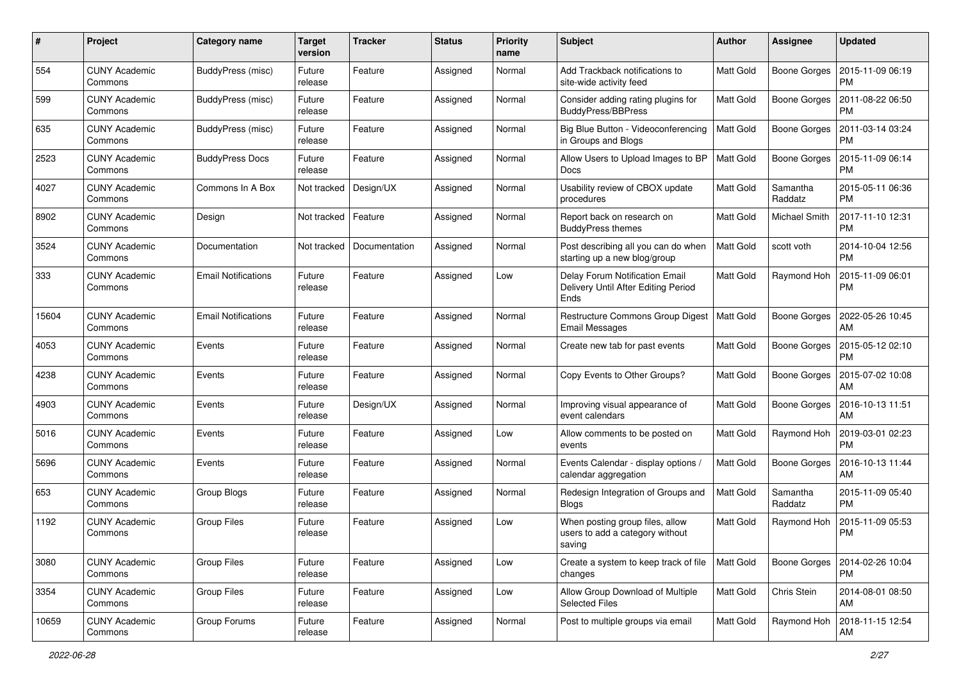| $\#$  | Project                         | <b>Category name</b>       | <b>Target</b><br>version | <b>Tracker</b> | <b>Status</b> | <b>Priority</b><br>name | Subject                                                                       | Author           | Assignee            | <b>Updated</b>                |
|-------|---------------------------------|----------------------------|--------------------------|----------------|---------------|-------------------------|-------------------------------------------------------------------------------|------------------|---------------------|-------------------------------|
| 554   | <b>CUNY Academic</b><br>Commons | BuddyPress (misc)          | Future<br>release        | Feature        | Assigned      | Normal                  | Add Trackback notifications to<br>site-wide activity feed                     | <b>Matt Gold</b> | <b>Boone Gorges</b> | 2015-11-09 06:19<br><b>PM</b> |
| 599   | <b>CUNY Academic</b><br>Commons | BuddyPress (misc)          | Future<br>release        | Feature        | Assigned      | Normal                  | Consider adding rating plugins for<br><b>BuddyPress/BBPress</b>               | <b>Matt Gold</b> | Boone Gorges        | 2011-08-22 06:50<br><b>PM</b> |
| 635   | CUNY Academic<br>Commons        | BuddyPress (misc)          | Future<br>release        | Feature        | Assigned      | Normal                  | Big Blue Button - Videoconferencing<br>in Groups and Blogs                    | Matt Gold        | <b>Boone Gorges</b> | 2011-03-14 03:24<br><b>PM</b> |
| 2523  | <b>CUNY Academic</b><br>Commons | <b>BuddyPress Docs</b>     | Future<br>release        | Feature        | Assigned      | Normal                  | Allow Users to Upload Images to BP<br>Docs                                    | <b>Matt Gold</b> | <b>Boone Gorges</b> | 2015-11-09 06:14<br><b>PM</b> |
| 4027  | <b>CUNY Academic</b><br>Commons | Commons In A Box           | Not tracked              | Design/UX      | Assigned      | Normal                  | Usability review of CBOX update<br>procedures                                 | <b>Matt Gold</b> | Samantha<br>Raddatz | 2015-05-11 06:36<br><b>PM</b> |
| 8902  | <b>CUNY Academic</b><br>Commons | Design                     | Not tracked              | Feature        | Assigned      | Normal                  | Report back on research on<br><b>BuddyPress themes</b>                        | Matt Gold        | Michael Smith       | 2017-11-10 12:31<br><b>PM</b> |
| 3524  | <b>CUNY Academic</b><br>Commons | Documentation              | Not tracked              | Documentation  | Assigned      | Normal                  | Post describing all you can do when<br>starting up a new blog/group           | Matt Gold        | scott voth          | 2014-10-04 12:56<br><b>PM</b> |
| 333   | <b>CUNY Academic</b><br>Commons | <b>Email Notifications</b> | Future<br>release        | Feature        | Assigned      | Low                     | Delay Forum Notification Email<br>Delivery Until After Editing Period<br>Ends | <b>Matt Gold</b> | Raymond Hoh         | 2015-11-09 06:01<br><b>PM</b> |
| 15604 | <b>CUNY Academic</b><br>Commons | <b>Email Notifications</b> | Future<br>release        | Feature        | Assigned      | Normal                  | Restructure Commons Group Digest<br><b>Email Messages</b>                     | <b>Matt Gold</b> | Boone Gorges        | 2022-05-26 10:45<br>AM        |
| 4053  | <b>CUNY Academic</b><br>Commons | Events                     | Future<br>release        | Feature        | Assigned      | Normal                  | Create new tab for past events                                                | Matt Gold        | <b>Boone Gorges</b> | 2015-05-12 02:10<br><b>PM</b> |
| 4238  | <b>CUNY Academic</b><br>Commons | Events                     | Future<br>release        | Feature        | Assigned      | Normal                  | Copy Events to Other Groups?                                                  | Matt Gold        | <b>Boone Gorges</b> | 2015-07-02 10:08<br>AM        |
| 4903  | <b>CUNY Academic</b><br>Commons | Events                     | Future<br>release        | Design/UX      | Assigned      | Normal                  | Improving visual appearance of<br>event calendars                             | <b>Matt Gold</b> | <b>Boone Gorges</b> | 2016-10-13 11:51<br>AM        |
| 5016  | <b>CUNY Academic</b><br>Commons | Events                     | Future<br>release        | Feature        | Assigned      | Low                     | Allow comments to be posted on<br>events                                      | <b>Matt Gold</b> | Raymond Hoh         | 2019-03-01 02:23<br><b>PM</b> |
| 5696  | <b>CUNY Academic</b><br>Commons | Events                     | Future<br>release        | Feature        | Assigned      | Normal                  | Events Calendar - display options /<br>calendar aggregation                   | Matt Gold        | <b>Boone Gorges</b> | 2016-10-13 11:44<br>AM        |
| 653   | <b>CUNY Academic</b><br>Commons | Group Blogs                | Future<br>release        | Feature        | Assigned      | Normal                  | Redesign Integration of Groups and<br><b>Blogs</b>                            | Matt Gold        | Samantha<br>Raddatz | 2015-11-09 05:40<br><b>PM</b> |
| 1192  | <b>CUNY Academic</b><br>Commons | <b>Group Files</b>         | Future<br>release        | Feature        | Assigned      | Low                     | When posting group files, allow<br>users to add a category without<br>saving  | Matt Gold        | Raymond Hoh         | 2015-11-09 05:53<br><b>PM</b> |
| 3080  | <b>CUNY Academic</b><br>Commons | <b>Group Files</b>         | Future<br>release        | Feature        | Assigned      | Low                     | Create a system to keep track of file<br>changes                              | Matt Gold        | Boone Gorges        | 2014-02-26 10:04<br>PM        |
| 3354  | <b>CUNY Academic</b><br>Commons | <b>Group Files</b>         | Future<br>release        | Feature        | Assigned      | Low                     | Allow Group Download of Multiple<br><b>Selected Files</b>                     | Matt Gold        | Chris Stein         | 2014-08-01 08:50<br>AM        |
| 10659 | <b>CUNY Academic</b><br>Commons | Group Forums               | Future<br>release        | Feature        | Assigned      | Normal                  | Post to multiple groups via email                                             | Matt Gold        | Raymond Hoh         | 2018-11-15 12:54<br>AM        |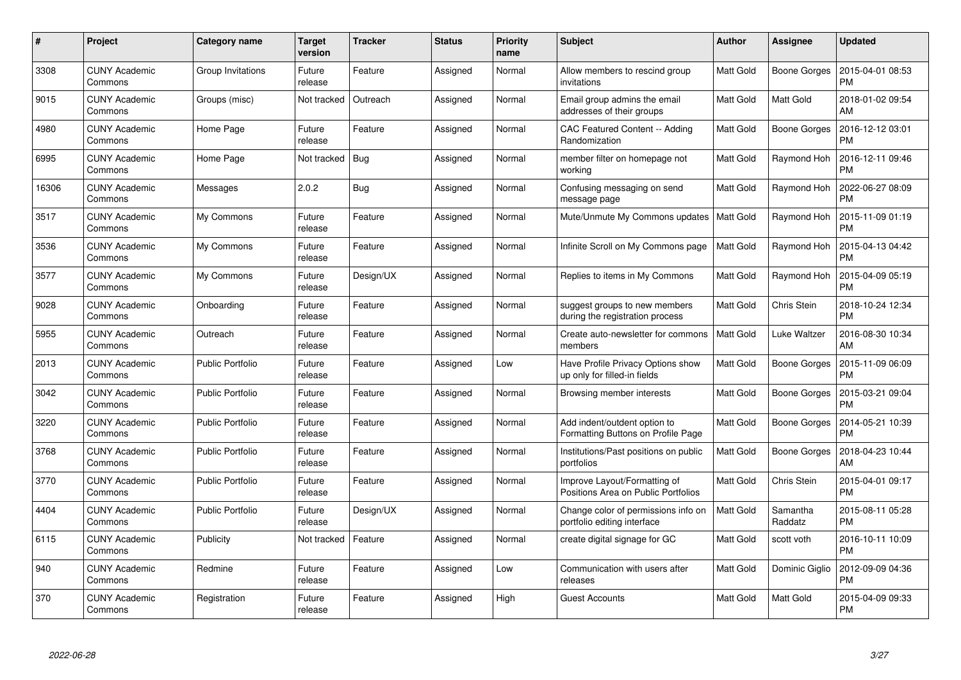| $\pmb{\#}$ | Project                         | Category name           | <b>Target</b><br>version | <b>Tracker</b> | <b>Status</b> | <b>Priority</b><br>name | <b>Subject</b>                                                      | Author           | Assignee            | <b>Updated</b>                |
|------------|---------------------------------|-------------------------|--------------------------|----------------|---------------|-------------------------|---------------------------------------------------------------------|------------------|---------------------|-------------------------------|
| 3308       | <b>CUNY Academic</b><br>Commons | Group Invitations       | Future<br>release        | Feature        | Assigned      | Normal                  | Allow members to rescind group<br>invitations                       | Matt Gold        | Boone Gorges        | 2015-04-01 08:53<br><b>PM</b> |
| 9015       | <b>CUNY Academic</b><br>Commons | Groups (misc)           | Not tracked              | Outreach       | Assigned      | Normal                  | Email group admins the email<br>addresses of their groups           | Matt Gold        | Matt Gold           | 2018-01-02 09:54<br>AM        |
| 4980       | <b>CUNY Academic</b><br>Commons | Home Page               | Future<br>release        | Feature        | Assigned      | Normal                  | CAC Featured Content -- Adding<br>Randomization                     | Matt Gold        | Boone Gorges        | 2016-12-12 03:01<br><b>PM</b> |
| 6995       | <b>CUNY Academic</b><br>Commons | Home Page               | Not tracked              | Bug            | Assigned      | Normal                  | member filter on homepage not<br>workina                            | Matt Gold        | Raymond Hoh         | 2016-12-11 09:46<br><b>PM</b> |
| 16306      | <b>CUNY Academic</b><br>Commons | Messages                | 2.0.2                    | <b>Bug</b>     | Assigned      | Normal                  | Confusing messaging on send<br>message page                         | Matt Gold        | Raymond Hoh         | 2022-06-27 08:09<br><b>PM</b> |
| 3517       | <b>CUNY Academic</b><br>Commons | My Commons              | Future<br>release        | Feature        | Assigned      | Normal                  | Mute/Unmute My Commons updates                                      | Matt Gold        | Raymond Hoh         | 2015-11-09 01:19<br><b>PM</b> |
| 3536       | <b>CUNY Academic</b><br>Commons | My Commons              | Future<br>release        | Feature        | Assigned      | Normal                  | Infinite Scroll on My Commons page                                  | <b>Matt Gold</b> | Raymond Hoh         | 2015-04-13 04:42<br><b>PM</b> |
| 3577       | <b>CUNY Academic</b><br>Commons | My Commons              | Future<br>release        | Design/UX      | Assigned      | Normal                  | Replies to items in My Commons                                      | Matt Gold        | Raymond Hoh         | 2015-04-09 05:19<br><b>PM</b> |
| 9028       | <b>CUNY Academic</b><br>Commons | Onboarding              | Future<br>release        | Feature        | Assigned      | Normal                  | suggest groups to new members<br>during the registration process    | Matt Gold        | Chris Stein         | 2018-10-24 12:34<br><b>PM</b> |
| 5955       | <b>CUNY Academic</b><br>Commons | Outreach                | Future<br>release        | Feature        | Assigned      | Normal                  | Create auto-newsletter for commons<br>members                       | <b>Matt Gold</b> | Luke Waltzer        | 2016-08-30 10:34<br>AM        |
| 2013       | <b>CUNY Academic</b><br>Commons | <b>Public Portfolio</b> | Future<br>release        | Feature        | Assigned      | Low                     | Have Profile Privacy Options show<br>up only for filled-in fields   | Matt Gold        | Boone Gorges        | 2015-11-09 06:09<br><b>PM</b> |
| 3042       | <b>CUNY Academic</b><br>Commons | <b>Public Portfolio</b> | Future<br>release        | Feature        | Assigned      | Normal                  | Browsing member interests                                           | Matt Gold        | Boone Gorges        | 2015-03-21 09:04<br>PM        |
| 3220       | <b>CUNY Academic</b><br>Commons | <b>Public Portfolio</b> | Future<br>release        | Feature        | Assigned      | Normal                  | Add indent/outdent option to<br>Formatting Buttons on Profile Page  | Matt Gold        | Boone Gorges        | 2014-05-21 10:39<br><b>PM</b> |
| 3768       | <b>CUNY Academic</b><br>Commons | Public Portfolio        | Future<br>release        | Feature        | Assigned      | Normal                  | Institutions/Past positions on public<br>portfolios                 | Matt Gold        | Boone Gorges        | 2018-04-23 10:44<br>AM        |
| 3770       | <b>CUNY Academic</b><br>Commons | <b>Public Portfolio</b> | Future<br>release        | Feature        | Assigned      | Normal                  | Improve Layout/Formatting of<br>Positions Area on Public Portfolios | Matt Gold        | Chris Stein         | 2015-04-01 09:17<br><b>PM</b> |
| 4404       | <b>CUNY Academic</b><br>Commons | <b>Public Portfolio</b> | Future<br>release        | Design/UX      | Assigned      | Normal                  | Change color of permissions info on<br>portfolio editing interface  | Matt Gold        | Samantha<br>Raddatz | 2015-08-11 05:28<br><b>PM</b> |
| 6115       | <b>CUNY Academic</b><br>Commons | Publicity               | Not tracked              | Feature        | Assigned      | Normal                  | create digital signage for GC                                       | Matt Gold        | scott voth          | 2016-10-11 10:09<br><b>PM</b> |
| 940        | <b>CUNY Academic</b><br>Commons | Redmine                 | Future<br>release        | Feature        | Assigned      | Low                     | Communication with users after<br>releases                          | Matt Gold        | Dominic Giglio      | 2012-09-09 04:36<br><b>PM</b> |
| 370        | CUNY Academic<br>Commons        | Registration            | Future<br>release        | Feature        | Assigned      | High                    | Guest Accounts                                                      | Matt Gold        | Matt Gold           | 2015-04-09 09:33<br><b>PM</b> |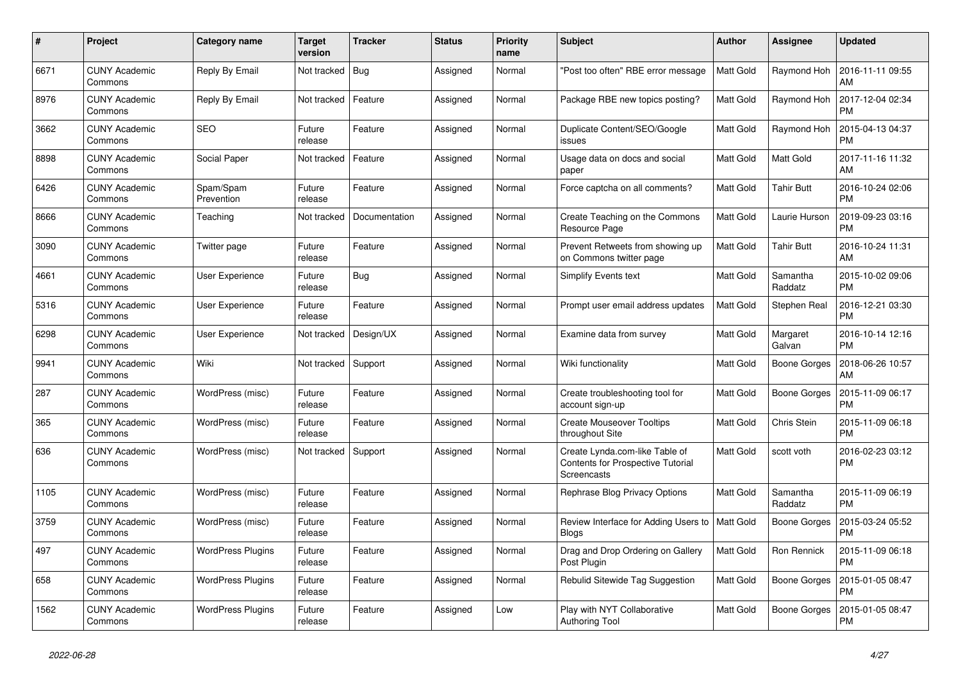| #    | Project                         | <b>Category name</b>     | <b>Target</b><br>version | <b>Tracker</b> | Status   | <b>Priority</b><br>name | <b>Subject</b>                                                                            | <b>Author</b>    | Assignee            | <b>Updated</b>                |
|------|---------------------------------|--------------------------|--------------------------|----------------|----------|-------------------------|-------------------------------------------------------------------------------------------|------------------|---------------------|-------------------------------|
| 6671 | <b>CUNY Academic</b><br>Commons | Reply By Email           | Not tracked              | <b>Bug</b>     | Assigned | Normal                  | "Post too often" RBE error message                                                        | <b>Matt Gold</b> | Raymond Hoh         | 2016-11-11 09:55<br>AM        |
| 8976 | <b>CUNY Academic</b><br>Commons | Reply By Email           | Not tracked              | Feature        | Assigned | Normal                  | Package RBE new topics posting?                                                           | Matt Gold        | Raymond Hoh         | 2017-12-04 02:34<br><b>PM</b> |
| 3662 | <b>CUNY Academic</b><br>Commons | <b>SEO</b>               | Future<br>release        | Feature        | Assigned | Normal                  | Duplicate Content/SEO/Google<br>issues                                                    | Matt Gold        | Raymond Hoh         | 2015-04-13 04:37<br><b>PM</b> |
| 8898 | <b>CUNY Academic</b><br>Commons | Social Paper             | Not tracked              | Feature        | Assigned | Normal                  | Usage data on docs and social<br>paper                                                    | Matt Gold        | Matt Gold           | 2017-11-16 11:32<br>AM        |
| 6426 | <b>CUNY Academic</b><br>Commons | Spam/Spam<br>Prevention  | Future<br>release        | Feature        | Assigned | Normal                  | Force captcha on all comments?                                                            | Matt Gold        | <b>Tahir Butt</b>   | 2016-10-24 02:06<br><b>PM</b> |
| 8666 | <b>CUNY Academic</b><br>Commons | Teaching                 | Not tracked              | Documentation  | Assigned | Normal                  | Create Teaching on the Commons<br>Resource Page                                           | Matt Gold        | Laurie Hurson       | 2019-09-23 03:16<br><b>PM</b> |
| 3090 | <b>CUNY Academic</b><br>Commons | Twitter page             | Future<br>release        | Feature        | Assigned | Normal                  | Prevent Retweets from showing up<br>on Commons twitter page                               | <b>Matt Gold</b> | <b>Tahir Butt</b>   | 2016-10-24 11:31<br>AM        |
| 4661 | <b>CUNY Academic</b><br>Commons | User Experience          | Future<br>release        | Bug            | Assigned | Normal                  | <b>Simplify Events text</b>                                                               | <b>Matt Gold</b> | Samantha<br>Raddatz | 2015-10-02 09:06<br><b>PM</b> |
| 5316 | <b>CUNY Academic</b><br>Commons | User Experience          | Future<br>release        | Feature        | Assigned | Normal                  | Prompt user email address updates                                                         | Matt Gold        | Stephen Real        | 2016-12-21 03:30<br><b>PM</b> |
| 6298 | <b>CUNY Academic</b><br>Commons | User Experience          | Not tracked              | Design/UX      | Assigned | Normal                  | Examine data from survey                                                                  | Matt Gold        | Margaret<br>Galvan  | 2016-10-14 12:16<br><b>PM</b> |
| 9941 | <b>CUNY Academic</b><br>Commons | Wiki                     | Not tracked              | Support        | Assigned | Normal                  | Wiki functionality                                                                        | Matt Gold        | Boone Gorges        | 2018-06-26 10:57<br>AM        |
| 287  | <b>CUNY Academic</b><br>Commons | WordPress (misc)         | Future<br>release        | Feature        | Assigned | Normal                  | Create troubleshooting tool for<br>account sign-up                                        | Matt Gold        | Boone Gorges        | 2015-11-09 06:17<br><b>PM</b> |
| 365  | <b>CUNY Academic</b><br>Commons | WordPress (misc)         | Future<br>release        | Feature        | Assigned | Normal                  | <b>Create Mouseover Tooltips</b><br>throughout Site                                       | Matt Gold        | Chris Stein         | 2015-11-09 06:18<br><b>PM</b> |
| 636  | <b>CUNY Academic</b><br>Commons | WordPress (misc)         | Not tracked              | Support        | Assigned | Normal                  | Create Lynda.com-like Table of<br><b>Contents for Prospective Tutorial</b><br>Screencasts | Matt Gold        | scott voth          | 2016-02-23 03:12<br><b>PM</b> |
| 1105 | <b>CUNY Academic</b><br>Commons | WordPress (misc)         | Future<br>release        | Feature        | Assigned | Normal                  | Rephrase Blog Privacy Options                                                             | Matt Gold        | Samantha<br>Raddatz | 2015-11-09 06:19<br><b>PM</b> |
| 3759 | <b>CUNY Academic</b><br>Commons | WordPress (misc)         | Future<br>release        | Feature        | Assigned | Normal                  | Review Interface for Adding Users to<br><b>Blogs</b>                                      | Matt Gold        | <b>Boone Gorges</b> | 2015-03-24 05:52<br><b>PM</b> |
| 497  | <b>CUNY Academic</b><br>Commons | <b>WordPress Plugins</b> | Future<br>release        | Feature        | Assigned | Normal                  | Drag and Drop Ordering on Gallery<br>Post Plugin                                          | Matt Gold        | Ron Rennick         | 2015-11-09 06:18<br><b>PM</b> |
| 658  | <b>CUNY Academic</b><br>Commons | <b>WordPress Plugins</b> | Future<br>release        | Feature        | Assigned | Normal                  | Rebulid Sitewide Tag Suggestion                                                           | Matt Gold        | Boone Gorges        | 2015-01-05 08:47<br><b>PM</b> |
| 1562 | <b>CUNY Academic</b><br>Commons | <b>WordPress Plugins</b> | Future<br>release        | Feature        | Assigned | Low                     | Play with NYT Collaborative<br><b>Authoring Tool</b>                                      | Matt Gold        | <b>Boone Gorges</b> | 2015-01-05 08:47<br><b>PM</b> |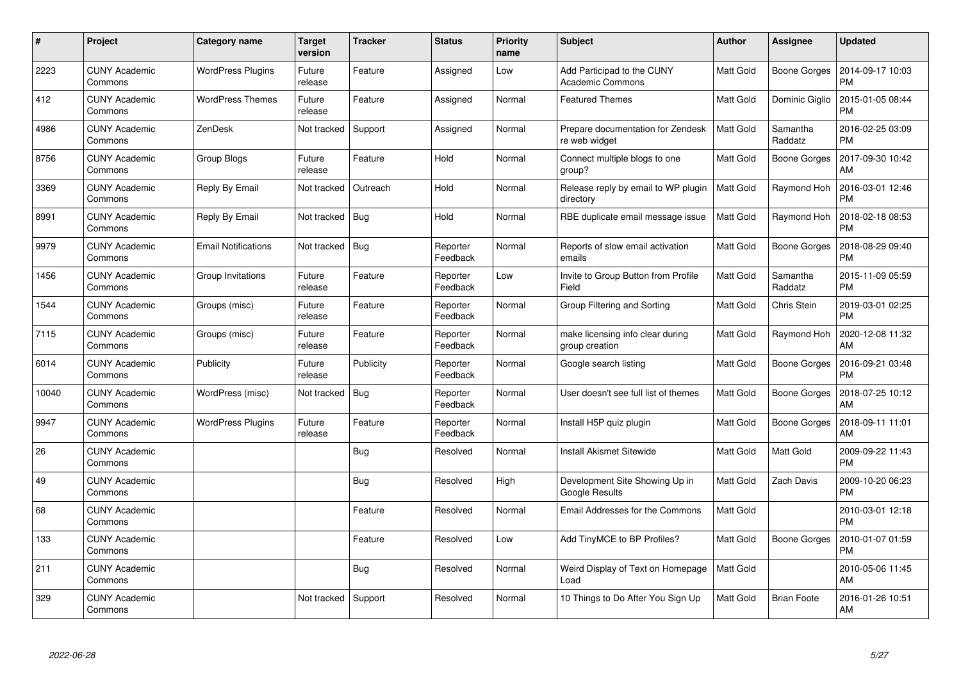| #     | Project                         | Category name              | <b>Target</b><br>version | <b>Tracker</b> | <b>Status</b>        | <b>Priority</b><br>name | <b>Subject</b>                                        | <b>Author</b>    | Assignee            | <b>Updated</b>                |
|-------|---------------------------------|----------------------------|--------------------------|----------------|----------------------|-------------------------|-------------------------------------------------------|------------------|---------------------|-------------------------------|
| 2223  | <b>CUNY Academic</b><br>Commons | <b>WordPress Plugins</b>   | Future<br>release        | Feature        | Assigned             | Low                     | Add Participad to the CUNY<br><b>Academic Commons</b> | <b>Matt Gold</b> | Boone Gorges        | 2014-09-17 10:03<br><b>PM</b> |
| 412   | <b>CUNY Academic</b><br>Commons | <b>WordPress Themes</b>    | Future<br>release        | Feature        | Assigned             | Normal                  | <b>Featured Themes</b>                                | Matt Gold        | Dominic Giglio      | 2015-01-05 08:44<br><b>PM</b> |
| 4986  | <b>CUNY Academic</b><br>Commons | ZenDesk                    | Not tracked              | Support        | Assigned             | Normal                  | Prepare documentation for Zendesk<br>re web widget    | <b>Matt Gold</b> | Samantha<br>Raddatz | 2016-02-25 03:09<br><b>PM</b> |
| 8756  | <b>CUNY Academic</b><br>Commons | Group Blogs                | Future<br>release        | Feature        | Hold                 | Normal                  | Connect multiple blogs to one<br>group?               | Matt Gold        | Boone Gorges        | 2017-09-30 10:42<br>AM        |
| 3369  | <b>CUNY Academic</b><br>Commons | Reply By Email             | Not tracked              | Outreach       | Hold                 | Normal                  | Release reply by email to WP plugin<br>directory      | Matt Gold        | Raymond Hoh         | 2016-03-01 12:46<br><b>PM</b> |
| 8991  | <b>CUNY Academic</b><br>Commons | Reply By Email             | Not tracked              | <b>Bug</b>     | Hold                 | Normal                  | RBE duplicate email message issue                     | <b>Matt Gold</b> | Raymond Hoh         | 2018-02-18 08:53<br><b>PM</b> |
| 9979  | <b>CUNY Academic</b><br>Commons | <b>Email Notifications</b> | Not tracked              | Bug            | Reporter<br>Feedback | Normal                  | Reports of slow email activation<br>emails            | Matt Gold        | <b>Boone Gorges</b> | 2018-08-29 09:40<br><b>PM</b> |
| 1456  | <b>CUNY Academic</b><br>Commons | Group Invitations          | Future<br>release        | Feature        | Reporter<br>Feedback | Low                     | Invite to Group Button from Profile<br>Field          | Matt Gold        | Samantha<br>Raddatz | 2015-11-09 05:59<br><b>PM</b> |
| 1544  | <b>CUNY Academic</b><br>Commons | Groups (misc)              | Future<br>release        | Feature        | Reporter<br>Feedback | Normal                  | Group Filtering and Sorting                           | <b>Matt Gold</b> | Chris Stein         | 2019-03-01 02:25<br><b>PM</b> |
| 7115  | <b>CUNY Academic</b><br>Commons | Groups (misc)              | Future<br>release        | Feature        | Reporter<br>Feedback | Normal                  | make licensing info clear during<br>group creation    | Matt Gold        | Raymond Hoh         | 2020-12-08 11:32<br>AM        |
| 6014  | <b>CUNY Academic</b><br>Commons | Publicity                  | Future<br>release        | Publicity      | Reporter<br>Feedback | Normal                  | Google search listing                                 | Matt Gold        | Boone Gorges        | 2016-09-21 03:48<br><b>PM</b> |
| 10040 | <b>CUNY Academic</b><br>Commons | WordPress (misc)           | Not tracked              | Bug            | Reporter<br>Feedback | Normal                  | User doesn't see full list of themes                  | Matt Gold        | Boone Gorges        | 2018-07-25 10:12<br>AM        |
| 9947  | <b>CUNY Academic</b><br>Commons | <b>WordPress Plugins</b>   | Future<br>release        | Feature        | Reporter<br>Feedback | Normal                  | Install H5P quiz plugin                               | Matt Gold        | Boone Gorges        | 2018-09-11 11:01<br>AM        |
| 26    | <b>CUNY Academic</b><br>Commons |                            |                          | Bug            | Resolved             | Normal                  | <b>Install Akismet Sitewide</b>                       | <b>Matt Gold</b> | Matt Gold           | 2009-09-22 11:43<br><b>PM</b> |
| 49    | <b>CUNY Academic</b><br>Commons |                            |                          | <b>Bug</b>     | Resolved             | High                    | Development Site Showing Up in<br>Google Results      | Matt Gold        | Zach Davis          | 2009-10-20 06:23<br><b>PM</b> |
| 68    | <b>CUNY Academic</b><br>Commons |                            |                          | Feature        | Resolved             | Normal                  | Email Addresses for the Commons                       | Matt Gold        |                     | 2010-03-01 12:18<br><b>PM</b> |
| 133   | <b>CUNY Academic</b><br>Commons |                            |                          | Feature        | Resolved             | Low                     | Add TinyMCE to BP Profiles?                           | <b>Matt Gold</b> | Boone Gorges        | 2010-01-07 01:59<br><b>PM</b> |
| 211   | <b>CUNY Academic</b><br>Commons |                            |                          | <b>Bug</b>     | Resolved             | Normal                  | Weird Display of Text on Homepage<br>Load             | Matt Gold        |                     | 2010-05-06 11:45<br>AM        |
| 329   | CUNY Academic<br>Commons        |                            | Not tracked              | Support        | Resolved             | Normal                  | 10 Things to Do After You Sign Up                     | <b>Matt Gold</b> | <b>Brian Foote</b>  | 2016-01-26 10:51<br>AM        |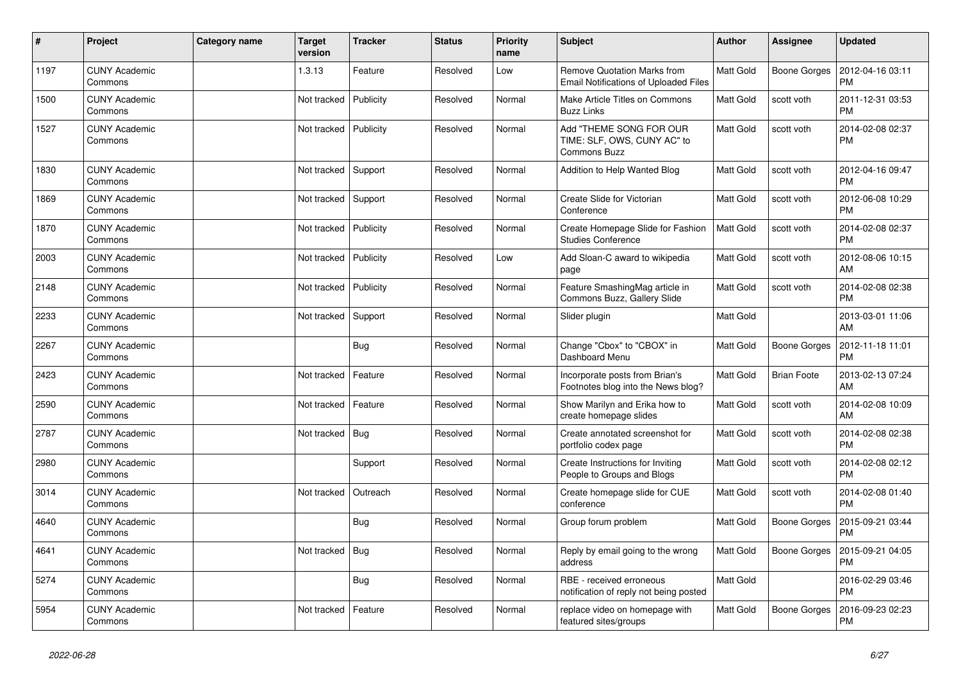| $\sharp$ | Project                         | Category name | <b>Target</b><br>version | <b>Tracker</b> | <b>Status</b> | <b>Priority</b><br>name | <b>Subject</b>                                                                     | <b>Author</b>    | Assignee            | <b>Updated</b>                |
|----------|---------------------------------|---------------|--------------------------|----------------|---------------|-------------------------|------------------------------------------------------------------------------------|------------------|---------------------|-------------------------------|
| 1197     | <b>CUNY Academic</b><br>Commons |               | 1.3.13                   | Feature        | Resolved      | Low                     | <b>Remove Quotation Marks from</b><br><b>Email Notifications of Uploaded Files</b> | <b>Matt Gold</b> | Boone Gorges        | 2012-04-16 03:11<br><b>PM</b> |
| 1500     | <b>CUNY Academic</b><br>Commons |               | Not tracked              | Publicity      | Resolved      | Normal                  | Make Article Titles on Commons<br><b>Buzz Links</b>                                | Matt Gold        | scott voth          | 2011-12-31 03:53<br><b>PM</b> |
| 1527     | <b>CUNY Academic</b><br>Commons |               | Not tracked              | Publicity      | Resolved      | Normal                  | Add "THEME SONG FOR OUR<br>TIME: SLF, OWS, CUNY AC" to<br><b>Commons Buzz</b>      | Matt Gold        | scott voth          | 2014-02-08 02:37<br><b>PM</b> |
| 1830     | <b>CUNY Academic</b><br>Commons |               | Not tracked              | Support        | Resolved      | Normal                  | Addition to Help Wanted Blog                                                       | <b>Matt Gold</b> | scott voth          | 2012-04-16 09:47<br><b>PM</b> |
| 1869     | <b>CUNY Academic</b><br>Commons |               | Not tracked              | Support        | Resolved      | Normal                  | Create Slide for Victorian<br>Conference                                           | Matt Gold        | scott voth          | 2012-06-08 10:29<br><b>PM</b> |
| 1870     | <b>CUNY Academic</b><br>Commons |               | Not tracked              | Publicity      | Resolved      | Normal                  | Create Homepage Slide for Fashion<br><b>Studies Conference</b>                     | <b>Matt Gold</b> | scott voth          | 2014-02-08 02:37<br><b>PM</b> |
| 2003     | <b>CUNY Academic</b><br>Commons |               | Not tracked              | Publicity      | Resolved      | Low                     | Add Sloan-C award to wikipedia<br>page                                             | Matt Gold        | scott voth          | 2012-08-06 10:15<br>AM        |
| 2148     | <b>CUNY Academic</b><br>Commons |               | Not tracked              | Publicity      | Resolved      | Normal                  | Feature SmashingMag article in<br>Commons Buzz, Gallery Slide                      | Matt Gold        | scott voth          | 2014-02-08 02:38<br><b>PM</b> |
| 2233     | <b>CUNY Academic</b><br>Commons |               | Not tracked              | Support        | Resolved      | Normal                  | Slider plugin                                                                      | Matt Gold        |                     | 2013-03-01 11:06<br>AM        |
| 2267     | <b>CUNY Academic</b><br>Commons |               |                          | <b>Bug</b>     | Resolved      | Normal                  | Change "Cbox" to "CBOX" in<br>Dashboard Menu                                       | <b>Matt Gold</b> | <b>Boone Gorges</b> | 2012-11-18 11:01<br><b>PM</b> |
| 2423     | <b>CUNY Academic</b><br>Commons |               | Not tracked              | Feature        | Resolved      | Normal                  | Incorporate posts from Brian's<br>Footnotes blog into the News blog?               | Matt Gold        | <b>Brian Foote</b>  | 2013-02-13 07:24<br>AM        |
| 2590     | <b>CUNY Academic</b><br>Commons |               | Not tracked              | Feature        | Resolved      | Normal                  | Show Marilyn and Erika how to<br>create homepage slides                            | Matt Gold        | scott voth          | 2014-02-08 10:09<br>AM        |
| 2787     | <b>CUNY Academic</b><br>Commons |               | Not tracked              | <b>Bug</b>     | Resolved      | Normal                  | Create annotated screenshot for<br>portfolio codex page                            | Matt Gold        | scott voth          | 2014-02-08 02:38<br><b>PM</b> |
| 2980     | <b>CUNY Academic</b><br>Commons |               |                          | Support        | Resolved      | Normal                  | Create Instructions for Inviting<br>People to Groups and Blogs                     | <b>Matt Gold</b> | scott voth          | 2014-02-08 02:12<br><b>PM</b> |
| 3014     | <b>CUNY Academic</b><br>Commons |               | Not tracked              | Outreach       | Resolved      | Normal                  | Create homepage slide for CUE<br>conference                                        | Matt Gold        | scott voth          | 2014-02-08 01:40<br><b>PM</b> |
| 4640     | <b>CUNY Academic</b><br>Commons |               |                          | <b>Bug</b>     | Resolved      | Normal                  | Group forum problem                                                                | <b>Matt Gold</b> | <b>Boone Gorges</b> | 2015-09-21 03:44<br><b>PM</b> |
| 4641     | <b>CUNY Academic</b><br>Commons |               | Not tracked              | <b>Bug</b>     | Resolved      | Normal                  | Reply by email going to the wrong<br>address                                       | Matt Gold        | Boone Gorges        | 2015-09-21 04:05<br><b>PM</b> |
| 5274     | <b>CUNY Academic</b><br>Commons |               |                          | <b>Bug</b>     | Resolved      | Normal                  | RBE - received erroneous<br>notification of reply not being posted                 | Matt Gold        |                     | 2016-02-29 03:46<br><b>PM</b> |
| 5954     | <b>CUNY Academic</b><br>Commons |               | Not tracked              | Feature        | Resolved      | Normal                  | replace video on homepage with<br>featured sites/groups                            | Matt Gold        | Boone Gorges        | 2016-09-23 02:23<br><b>PM</b> |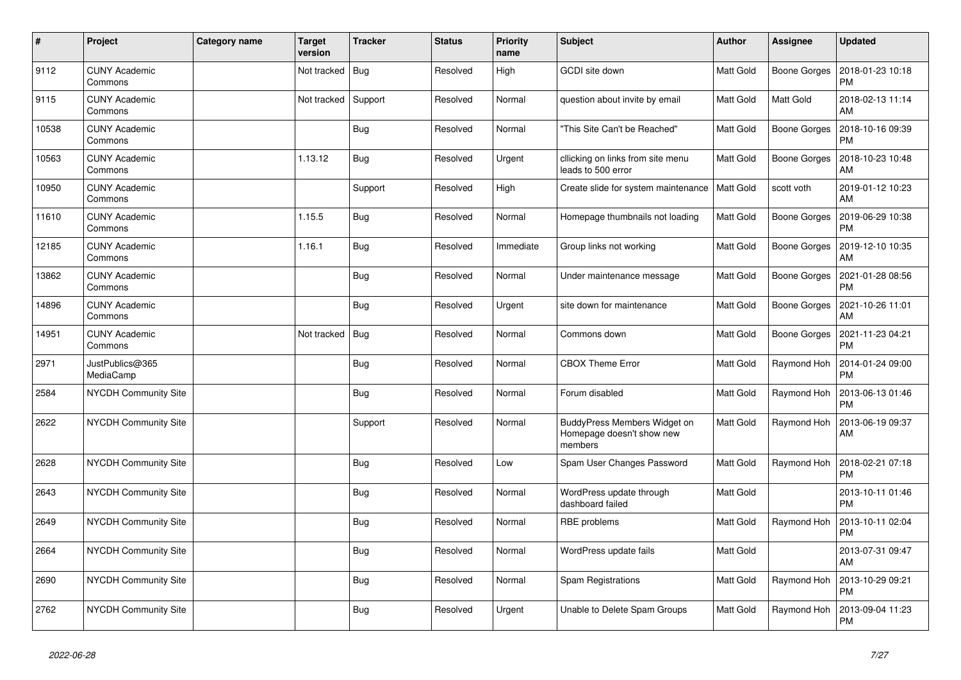| $\vert$ # | Project                         | Category name | <b>Target</b><br>version | <b>Tracker</b> | <b>Status</b> | <b>Priority</b><br>name | <b>Subject</b>                                                       | <b>Author</b>    | Assignee     | <b>Updated</b>                |
|-----------|---------------------------------|---------------|--------------------------|----------------|---------------|-------------------------|----------------------------------------------------------------------|------------------|--------------|-------------------------------|
| 9112      | <b>CUNY Academic</b><br>Commons |               | Not tracked              | Bug            | Resolved      | High                    | <b>GCDI</b> site down                                                | <b>Matt Gold</b> | Boone Gorges | 2018-01-23 10:18<br><b>PM</b> |
| 9115      | <b>CUNY Academic</b><br>Commons |               | Not tracked              | Support        | Resolved      | Normal                  | question about invite by email                                       | Matt Gold        | Matt Gold    | 2018-02-13 11:14<br>AM        |
| 10538     | <b>CUNY Academic</b><br>Commons |               |                          | Bug            | Resolved      | Normal                  | "This Site Can't be Reached"                                         | Matt Gold        | Boone Gorges | 2018-10-16 09:39<br><b>PM</b> |
| 10563     | <b>CUNY Academic</b><br>Commons |               | 1.13.12                  | <b>Bug</b>     | Resolved      | Urgent                  | cllicking on links from site menu<br>leads to 500 error              | Matt Gold        | Boone Gorges | 2018-10-23 10:48<br>AM        |
| 10950     | <b>CUNY Academic</b><br>Commons |               |                          | Support        | Resolved      | High                    | Create slide for system maintenance                                  | <b>Matt Gold</b> | scott voth   | 2019-01-12 10:23<br>AM        |
| 11610     | <b>CUNY Academic</b><br>Commons |               | 1.15.5                   | <b>Bug</b>     | Resolved      | Normal                  | Homepage thumbnails not loading                                      | Matt Gold        | Boone Gorges | 2019-06-29 10:38<br><b>PM</b> |
| 12185     | <b>CUNY Academic</b><br>Commons |               | 1.16.1                   | <b>Bug</b>     | Resolved      | Immediate               | Group links not working                                              | Matt Gold        | Boone Gorges | 2019-12-10 10:35<br>AM        |
| 13862     | <b>CUNY Academic</b><br>Commons |               |                          | <b>Bug</b>     | Resolved      | Normal                  | Under maintenance message                                            | Matt Gold        | Boone Gorges | 2021-01-28 08:56<br><b>PM</b> |
| 14896     | <b>CUNY Academic</b><br>Commons |               |                          | <b>Bug</b>     | Resolved      | Urgent                  | site down for maintenance                                            | Matt Gold        | Boone Gorges | 2021-10-26 11:01<br>AM        |
| 14951     | <b>CUNY Academic</b><br>Commons |               | Not tracked              | Bug            | Resolved      | Normal                  | Commons down                                                         | Matt Gold        | Boone Gorges | 2021-11-23 04:21<br><b>PM</b> |
| 2971      | JustPublics@365<br>MediaCamp    |               |                          | <b>Bug</b>     | Resolved      | Normal                  | <b>CBOX Theme Error</b>                                              | <b>Matt Gold</b> | Raymond Hoh  | 2014-01-24 09:00<br><b>PM</b> |
| 2584      | <b>NYCDH Community Site</b>     |               |                          | Bug            | Resolved      | Normal                  | Forum disabled                                                       | <b>Matt Gold</b> | Raymond Hoh  | 2013-06-13 01:46<br><b>PM</b> |
| 2622      | <b>NYCDH Community Site</b>     |               |                          | Support        | Resolved      | Normal                  | BuddyPress Members Widget on<br>Homepage doesn't show new<br>members | Matt Gold        | Raymond Hoh  | 2013-06-19 09:37<br>AM        |
| 2628      | <b>NYCDH Community Site</b>     |               |                          | Bug            | Resolved      | Low                     | Spam User Changes Password                                           | <b>Matt Gold</b> | Raymond Hoh  | 2018-02-21 07:18<br><b>PM</b> |
| 2643      | <b>NYCDH Community Site</b>     |               |                          | <b>Bug</b>     | Resolved      | Normal                  | WordPress update through<br>dashboard failed                         | <b>Matt Gold</b> |              | 2013-10-11 01:46<br><b>PM</b> |
| 2649      | <b>NYCDH Community Site</b>     |               |                          | <b>Bug</b>     | Resolved      | Normal                  | RBE problems                                                         | Matt Gold        | Raymond Hoh  | 2013-10-11 02:04<br><b>PM</b> |
| 2664      | NYCDH Community Site            |               |                          | Bug            | Resolved      | Normal                  | WordPress update fails                                               | <b>Matt Gold</b> |              | 2013-07-31 09:47<br>AM        |
| 2690      | <b>NYCDH Community Site</b>     |               |                          | <b>Bug</b>     | Resolved      | Normal                  | Spam Registrations                                                   | <b>Matt Gold</b> | Raymond Hoh  | 2013-10-29 09:21<br><b>PM</b> |
| 2762      | <b>NYCDH Community Site</b>     |               |                          | Bug            | Resolved      | Urgent                  | Unable to Delete Spam Groups                                         | Matt Gold        | Raymond Hoh  | 2013-09-04 11:23<br><b>PM</b> |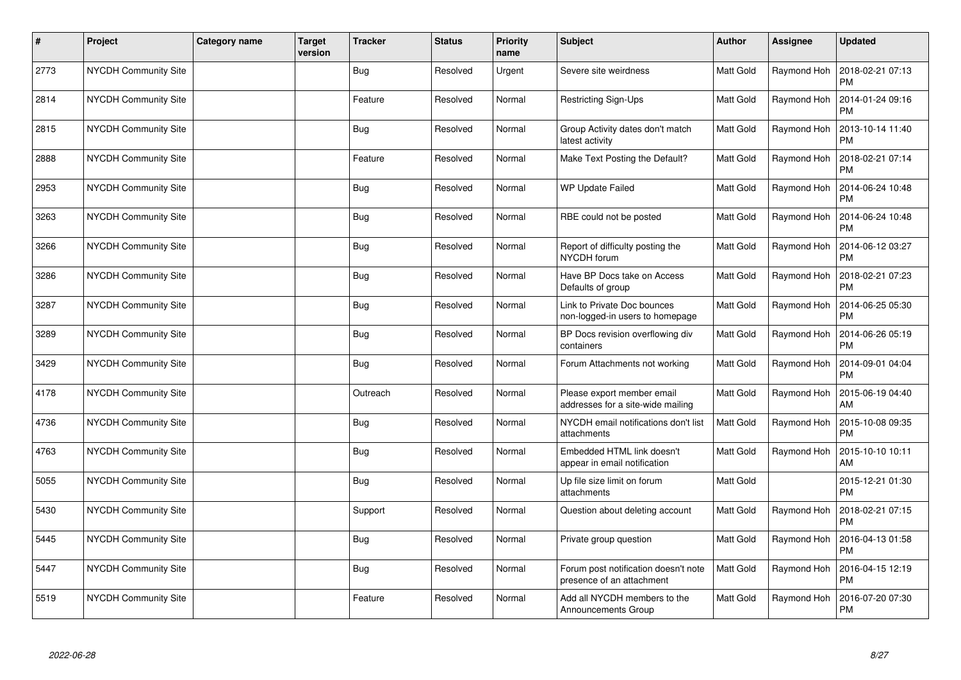| $\vert$ # | Project                     | Category name | <b>Target</b><br>version | <b>Tracker</b> | <b>Status</b> | <b>Priority</b><br>name | Subject                                                           | <b>Author</b>    | Assignee    | <b>Updated</b>                |
|-----------|-----------------------------|---------------|--------------------------|----------------|---------------|-------------------------|-------------------------------------------------------------------|------------------|-------------|-------------------------------|
| 2773      | NYCDH Community Site        |               |                          | <b>Bug</b>     | Resolved      | Urgent                  | Severe site weirdness                                             | Matt Gold        | Raymond Hoh | 2018-02-21 07:13<br><b>PM</b> |
| 2814      | <b>NYCDH Community Site</b> |               |                          | Feature        | Resolved      | Normal                  | Restricting Sign-Ups                                              | <b>Matt Gold</b> | Raymond Hoh | 2014-01-24 09:16<br><b>PM</b> |
| 2815      | NYCDH Community Site        |               |                          | <b>Bug</b>     | Resolved      | Normal                  | Group Activity dates don't match<br>latest activity               | Matt Gold        | Raymond Hoh | 2013-10-14 11:40<br><b>PM</b> |
| 2888      | <b>NYCDH Community Site</b> |               |                          | Feature        | Resolved      | Normal                  | Make Text Posting the Default?                                    | Matt Gold        | Raymond Hoh | 2018-02-21 07:14<br><b>PM</b> |
| 2953      | <b>NYCDH Community Site</b> |               |                          | <b>Bug</b>     | Resolved      | Normal                  | <b>WP Update Failed</b>                                           | <b>Matt Gold</b> | Raymond Hoh | 2014-06-24 10:48<br><b>PM</b> |
| 3263      | <b>NYCDH Community Site</b> |               |                          | Bug            | Resolved      | Normal                  | RBE could not be posted                                           | Matt Gold        | Raymond Hoh | 2014-06-24 10:48<br><b>PM</b> |
| 3266      | <b>NYCDH Community Site</b> |               |                          | <b>Bug</b>     | Resolved      | Normal                  | Report of difficulty posting the<br>NYCDH forum                   | <b>Matt Gold</b> | Raymond Hoh | 2014-06-12 03:27<br><b>PM</b> |
| 3286      | NYCDH Community Site        |               |                          | <b>Bug</b>     | Resolved      | Normal                  | Have BP Docs take on Access<br>Defaults of group                  | <b>Matt Gold</b> | Raymond Hoh | 2018-02-21 07:23<br><b>PM</b> |
| 3287      | <b>NYCDH Community Site</b> |               |                          | <b>Bug</b>     | Resolved      | Normal                  | Link to Private Doc bounces<br>non-logged-in users to homepage    | <b>Matt Gold</b> | Raymond Hoh | 2014-06-25 05:30<br><b>PM</b> |
| 3289      | <b>NYCDH Community Site</b> |               |                          | <b>Bug</b>     | Resolved      | Normal                  | BP Docs revision overflowing div<br>containers                    | Matt Gold        | Raymond Hoh | 2014-06-26 05:19<br>PM        |
| 3429      | <b>NYCDH Community Site</b> |               |                          | <b>Bug</b>     | Resolved      | Normal                  | Forum Attachments not working                                     | <b>Matt Gold</b> | Raymond Hoh | 2014-09-01 04:04<br><b>PM</b> |
| 4178      | <b>NYCDH Community Site</b> |               |                          | Outreach       | Resolved      | Normal                  | Please export member email<br>addresses for a site-wide mailing   | <b>Matt Gold</b> | Raymond Hoh | 2015-06-19 04:40<br>AM        |
| 4736      | <b>NYCDH Community Site</b> |               |                          | <b>Bug</b>     | Resolved      | Normal                  | NYCDH email notifications don't list<br>attachments               | Matt Gold        | Raymond Hoh | 2015-10-08 09:35<br><b>PM</b> |
| 4763      | <b>NYCDH Community Site</b> |               |                          | Bug            | Resolved      | Normal                  | Embedded HTML link doesn't<br>appear in email notification        | Matt Gold        | Raymond Hoh | 2015-10-10 10:11<br>AM        |
| 5055      | <b>NYCDH Community Site</b> |               |                          | <b>Bug</b>     | Resolved      | Normal                  | Up file size limit on forum<br>attachments                        | Matt Gold        |             | 2015-12-21 01:30<br><b>PM</b> |
| 5430      | <b>NYCDH Community Site</b> |               |                          | Support        | Resolved      | Normal                  | Question about deleting account                                   | Matt Gold        | Raymond Hoh | 2018-02-21 07:15<br><b>PM</b> |
| 5445      | <b>NYCDH Community Site</b> |               |                          | Bug            | Resolved      | Normal                  | Private group question                                            | <b>Matt Gold</b> | Raymond Hoh | 2016-04-13 01:58<br><b>PM</b> |
| 5447      | <b>NYCDH Community Site</b> |               |                          | <b>Bug</b>     | Resolved      | Normal                  | Forum post notification doesn't note<br>presence of an attachment | Matt Gold        | Raymond Hoh | 2016-04-15 12:19<br><b>PM</b> |
| 5519      | <b>NYCDH Community Site</b> |               |                          | Feature        | Resolved      | Normal                  | Add all NYCDH members to the<br>Announcements Group               | Matt Gold        | Raymond Hoh | 2016-07-20 07:30<br><b>PM</b> |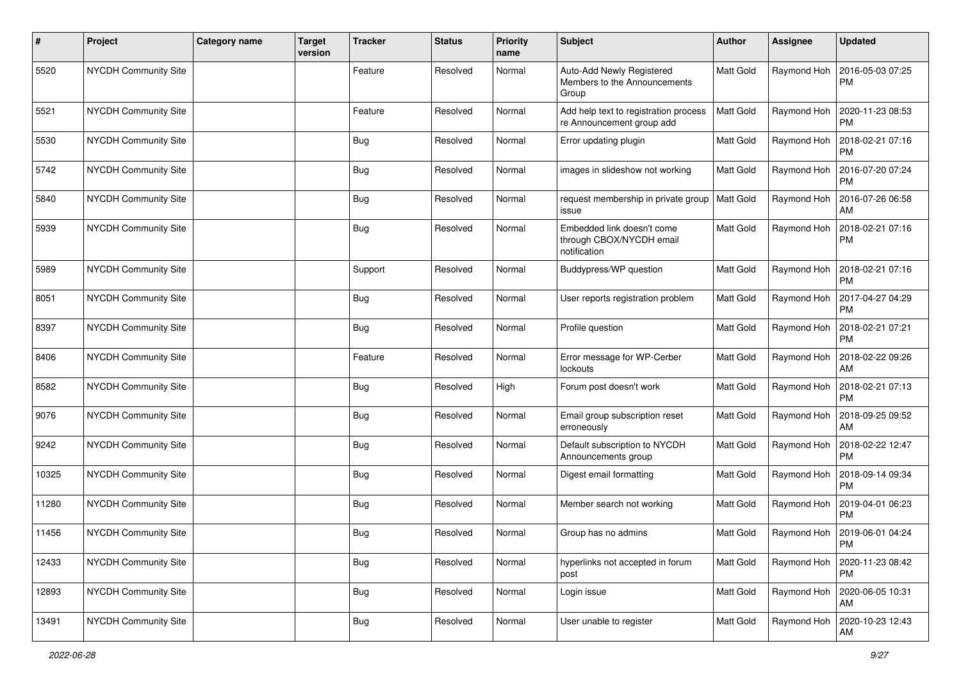| #     | Project              | <b>Category name</b> | <b>Target</b><br>version | <b>Tracker</b> | <b>Status</b> | <b>Priority</b><br>name | <b>Subject</b>                                                         | <b>Author</b>    | <b>Assignee</b> | <b>Updated</b>                |
|-------|----------------------|----------------------|--------------------------|----------------|---------------|-------------------------|------------------------------------------------------------------------|------------------|-----------------|-------------------------------|
| 5520  | NYCDH Community Site |                      |                          | Feature        | Resolved      | Normal                  | Auto-Add Newly Registered<br>Members to the Announcements<br>Group     | Matt Gold        | Raymond Hoh     | 2016-05-03 07:25<br><b>PM</b> |
| 5521  | NYCDH Community Site |                      |                          | Feature        | Resolved      | Normal                  | Add help text to registration process<br>re Announcement group add     | <b>Matt Gold</b> | Raymond Hoh     | 2020-11-23 08:53<br><b>PM</b> |
| 5530  | NYCDH Community Site |                      |                          | <b>Bug</b>     | Resolved      | Normal                  | Error updating plugin                                                  | Matt Gold        | Raymond Hoh     | 2018-02-21 07:16<br><b>PM</b> |
| 5742  | NYCDH Community Site |                      |                          | <b>Bug</b>     | Resolved      | Normal                  | images in slideshow not working                                        | Matt Gold        | Raymond Hoh     | 2016-07-20 07:24<br><b>PM</b> |
| 5840  | NYCDH Community Site |                      |                          | <b>Bug</b>     | Resolved      | Normal                  | request membership in private group<br>issue                           | Matt Gold        | Raymond Hoh     | 2016-07-26 06:58<br>AM        |
| 5939  | NYCDH Community Site |                      |                          | Bug            | Resolved      | Normal                  | Embedded link doesn't come<br>through CBOX/NYCDH email<br>notification | Matt Gold        | Raymond Hoh     | 2018-02-21 07:16<br><b>PM</b> |
| 5989  | NYCDH Community Site |                      |                          | Support        | Resolved      | Normal                  | Buddypress/WP question                                                 | Matt Gold        | Raymond Hoh     | 2018-02-21 07:16<br><b>PM</b> |
| 8051  | NYCDH Community Site |                      |                          | <b>Bug</b>     | Resolved      | Normal                  | User reports registration problem                                      | Matt Gold        | Raymond Hoh     | 2017-04-27 04:29<br><b>PM</b> |
| 8397  | NYCDH Community Site |                      |                          | Bug            | Resolved      | Normal                  | Profile question                                                       | Matt Gold        | Raymond Hoh     | 2018-02-21 07:21<br><b>PM</b> |
| 8406  | NYCDH Community Site |                      |                          | Feature        | Resolved      | Normal                  | Error message for WP-Cerber<br>lockouts                                | Matt Gold        | Raymond Hoh     | 2018-02-22 09:26<br>AM        |
| 8582  | NYCDH Community Site |                      |                          | Bug            | Resolved      | High                    | Forum post doesn't work                                                | Matt Gold        | Raymond Hoh     | 2018-02-21 07:13<br><b>PM</b> |
| 9076  | NYCDH Community Site |                      |                          | Bug            | Resolved      | Normal                  | Email group subscription reset<br>erroneously                          | Matt Gold        | Raymond Hoh     | 2018-09-25 09:52<br>AM        |
| 9242  | NYCDH Community Site |                      |                          | <b>Bug</b>     | Resolved      | Normal                  | Default subscription to NYCDH<br>Announcements group                   | Matt Gold        | Raymond Hoh     | 2018-02-22 12:47<br><b>PM</b> |
| 10325 | NYCDH Community Site |                      |                          | <b>Bug</b>     | Resolved      | Normal                  | Digest email formatting                                                | Matt Gold        | Raymond Hoh     | 2018-09-14 09:34<br><b>PM</b> |
| 11280 | NYCDH Community Site |                      |                          | <b>Bug</b>     | Resolved      | Normal                  | Member search not working                                              | Matt Gold        | Raymond Hoh     | 2019-04-01 06:23<br><b>PM</b> |
| 11456 | NYCDH Community Site |                      |                          | <b>Bug</b>     | Resolved      | Normal                  | Group has no admins                                                    | Matt Gold        | Raymond Hoh     | 2019-06-01 04:24<br>PM        |
| 12433 | NYCDH Community Site |                      |                          | <b>Bug</b>     | Resolved      | Normal                  | hyperlinks not accepted in forum<br>post                               | Matt Gold        | Raymond Hoh     | 2020-11-23 08:42<br>PM        |
| 12893 | NYCDH Community Site |                      |                          | <b>Bug</b>     | Resolved      | Normal                  | Login issue                                                            | Matt Gold        | Raymond Hoh     | 2020-06-05 10:31<br><b>AM</b> |
| 13491 | NYCDH Community Site |                      |                          | <b>Bug</b>     | Resolved      | Normal                  | User unable to register                                                | Matt Gold        | Raymond Hoh     | 2020-10-23 12:43<br>AM        |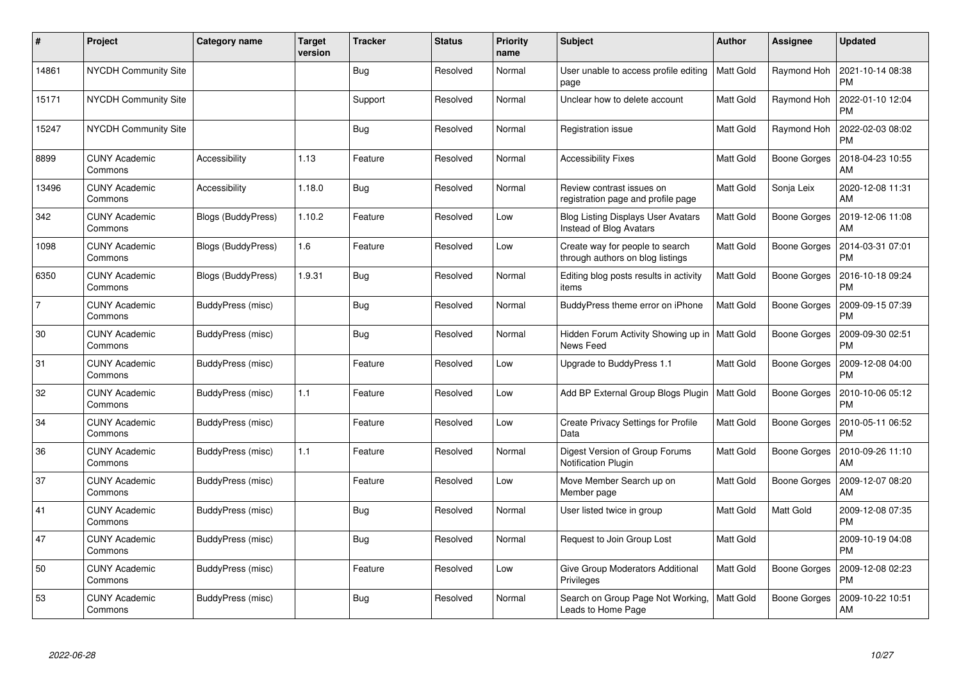| $\pmb{\#}$     | Project                         | <b>Category name</b> | <b>Target</b><br>version | <b>Tracker</b> | <b>Status</b> | <b>Priority</b><br>name | <b>Subject</b>                                                              | <b>Author</b>    | <b>Assignee</b>  | <b>Updated</b>                |
|----------------|---------------------------------|----------------------|--------------------------|----------------|---------------|-------------------------|-----------------------------------------------------------------------------|------------------|------------------|-------------------------------|
| 14861          | <b>NYCDH Community Site</b>     |                      |                          | Bug            | Resolved      | Normal                  | User unable to access profile editing<br>page                               | <b>Matt Gold</b> | Raymond Hoh      | 2021-10-14 08:38<br><b>PM</b> |
| 15171          | <b>NYCDH Community Site</b>     |                      |                          | Support        | Resolved      | Normal                  | Unclear how to delete account                                               | Matt Gold        | Raymond Hoh      | 2022-01-10 12:04<br><b>PM</b> |
| 15247          | <b>NYCDH Community Site</b>     |                      |                          | <b>Bug</b>     | Resolved      | Normal                  | Registration issue                                                          | Matt Gold        | Raymond Hoh      | 2022-02-03 08:02<br><b>PM</b> |
| 8899           | <b>CUNY Academic</b><br>Commons | Accessibility        | 1.13                     | Feature        | Resolved      | Normal                  | <b>Accessibility Fixes</b>                                                  | Matt Gold        | Boone Gorges     | 2018-04-23 10:55<br>AM        |
| 13496          | <b>CUNY Academic</b><br>Commons | Accessibility        | 1.18.0                   | <b>Bug</b>     | Resolved      | Normal                  | Review contrast issues on<br>registration page and profile page             | Matt Gold        | Sonja Leix       | 2020-12-08 11:31<br>AM        |
| 342            | <b>CUNY Academic</b><br>Commons | Blogs (BuddyPress)   | 1.10.2                   | Feature        | Resolved      | Low                     | <b>Blog Listing Displays User Avatars</b><br><b>Instead of Blog Avatars</b> | Matt Gold        | Boone Gorges     | 2019-12-06 11:08<br>AM        |
| 1098           | <b>CUNY Academic</b><br>Commons | Blogs (BuddyPress)   | 1.6                      | Feature        | Resolved      | Low                     | Create way for people to search<br>through authors on blog listings         | Matt Gold        | Boone Gorges     | 2014-03-31 07:01<br><b>PM</b> |
| 6350           | <b>CUNY Academic</b><br>Commons | Blogs (BuddyPress)   | 1.9.31                   | Bug            | Resolved      | Normal                  | Editing blog posts results in activity<br>items                             | Matt Gold        | Boone Gorges     | 2016-10-18 09:24<br><b>PM</b> |
| $\overline{7}$ | <b>CUNY Academic</b><br>Commons | BuddyPress (misc)    |                          | <b>Bug</b>     | Resolved      | Normal                  | BuddyPress theme error on iPhone                                            | <b>Matt Gold</b> | Boone Gorges     | 2009-09-15 07:39<br><b>PM</b> |
| 30             | <b>CUNY Academic</b><br>Commons | BuddyPress (misc)    |                          | <b>Bug</b>     | Resolved      | Normal                  | Hidden Forum Activity Showing up in   Matt Gold<br>News Feed                |                  | Boone Gorges     | 2009-09-30 02:51<br>PM        |
| 31             | <b>CUNY Academic</b><br>Commons | BuddyPress (misc)    |                          | Feature        | Resolved      | Low                     | Upgrade to BuddyPress 1.1                                                   | Matt Gold        | Boone Gorges     | 2009-12-08 04:00<br><b>PM</b> |
| 32             | <b>CUNY Academic</b><br>Commons | BuddyPress (misc)    | 1.1                      | Feature        | Resolved      | Low                     | Add BP External Group Blogs Plugin                                          | <b>Matt Gold</b> | Boone Gorges     | 2010-10-06 05:12<br>РM        |
| 34             | <b>CUNY Academic</b><br>Commons | BuddyPress (misc)    |                          | Feature        | Resolved      | Low                     | <b>Create Privacy Settings for Profile</b><br>Data                          | Matt Gold        | Boone Gorges     | 2010-05-11 06:52<br><b>PM</b> |
| 36             | <b>CUNY Academic</b><br>Commons | BuddyPress (misc)    | 1.1                      | Feature        | Resolved      | Normal                  | Digest Version of Group Forums<br>Notification Plugin                       | Matt Gold        | Boone Gorges     | 2010-09-26 11:10<br>AM        |
| 37             | <b>CUNY Academic</b><br>Commons | BuddyPress (misc)    |                          | Feature        | Resolved      | Low                     | Move Member Search up on<br>Member page                                     | Matt Gold        | Boone Gorges     | 2009-12-07 08:20<br>AM        |
| 41             | <b>CUNY Academic</b><br>Commons | BuddyPress (misc)    |                          | <b>Bug</b>     | Resolved      | Normal                  | User listed twice in group                                                  | Matt Gold        | <b>Matt Gold</b> | 2009-12-08 07:35<br><b>PM</b> |
| 47             | <b>CUNY Academic</b><br>Commons | BuddyPress (misc)    |                          | Bug            | Resolved      | Normal                  | Request to Join Group Lost                                                  | <b>Matt Gold</b> |                  | 2009-10-19 04:08<br><b>PM</b> |
| 50             | <b>CUNY Academic</b><br>Commons | BuddyPress (misc)    |                          | Feature        | Resolved      | Low                     | Give Group Moderators Additional<br>Privileges                              | Matt Gold        | Boone Gorges     | 2009-12-08 02:23<br><b>PM</b> |
| 53             | CUNY Academic<br>Commons        | BuddyPress (misc)    |                          | <b>Bug</b>     | Resolved      | Normal                  | Search on Group Page Not Working,<br>Leads to Home Page                     | Matt Gold        | Boone Gorges     | 2009-10-22 10:51<br>AM        |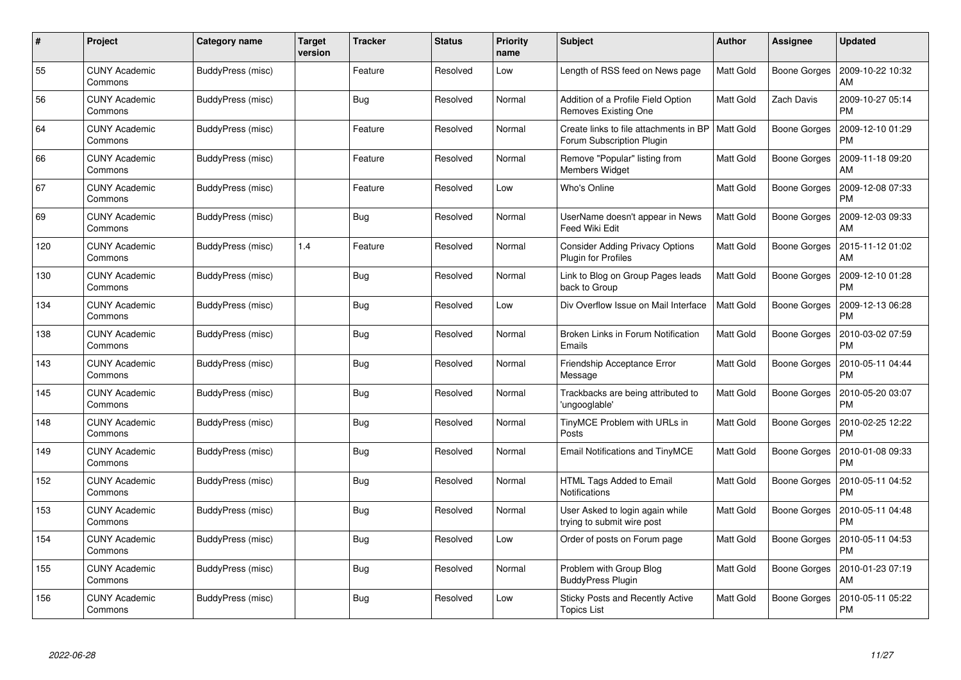| #   | Project                         | <b>Category name</b> | <b>Target</b><br>version | <b>Tracker</b> | <b>Status</b> | <b>Priority</b><br>name | <b>Subject</b>                                                       | <b>Author</b>    | <b>Assignee</b>     | <b>Updated</b>                |
|-----|---------------------------------|----------------------|--------------------------|----------------|---------------|-------------------------|----------------------------------------------------------------------|------------------|---------------------|-------------------------------|
| 55  | <b>CUNY Academic</b><br>Commons | BuddyPress (misc)    |                          | Feature        | Resolved      | Low                     | Length of RSS feed on News page                                      | <b>Matt Gold</b> | <b>Boone Gorges</b> | 2009-10-22 10:32<br>AM        |
| 56  | <b>CUNY Academic</b><br>Commons | BuddyPress (misc)    |                          | <b>Bug</b>     | Resolved      | Normal                  | Addition of a Profile Field Option<br>Removes Existing One           | Matt Gold        | Zach Davis          | 2009-10-27 05:14<br><b>PM</b> |
| 64  | <b>CUNY Academic</b><br>Commons | BuddyPress (misc)    |                          | Feature        | Resolved      | Normal                  | Create links to file attachments in BP<br>Forum Subscription Plugin  | Matt Gold        | <b>Boone Gorges</b> | 2009-12-10 01:29<br><b>PM</b> |
| 66  | <b>CUNY Academic</b><br>Commons | BuddyPress (misc)    |                          | Feature        | Resolved      | Normal                  | Remove "Popular" listing from<br><b>Members Widget</b>               | Matt Gold        | Boone Gorges        | 2009-11-18 09:20<br>AM        |
| 67  | <b>CUNY Academic</b><br>Commons | BuddyPress (misc)    |                          | Feature        | Resolved      | Low                     | Who's Online                                                         | Matt Gold        | Boone Gorges        | 2009-12-08 07:33<br><b>PM</b> |
| 69  | <b>CUNY Academic</b><br>Commons | BuddyPress (misc)    |                          | <b>Bug</b>     | Resolved      | Normal                  | UserName doesn't appear in News<br>Feed Wiki Edit                    | Matt Gold        | Boone Gorges        | 2009-12-03 09:33<br>AM        |
| 120 | <b>CUNY Academic</b><br>Commons | BuddyPress (misc)    | 1.4                      | Feature        | Resolved      | Normal                  | <b>Consider Adding Privacy Options</b><br><b>Plugin for Profiles</b> | Matt Gold        | <b>Boone Gorges</b> | 2015-11-12 01:02<br>AM        |
| 130 | <b>CUNY Academic</b><br>Commons | BuddyPress (misc)    |                          | <b>Bug</b>     | Resolved      | Normal                  | Link to Blog on Group Pages leads<br>back to Group                   | Matt Gold        | Boone Gorges        | 2009-12-10 01:28<br><b>PM</b> |
| 134 | <b>CUNY Academic</b><br>Commons | BuddyPress (misc)    |                          | <b>Bug</b>     | Resolved      | Low                     | Div Overflow Issue on Mail Interface                                 | <b>Matt Gold</b> | Boone Gorges        | 2009-12-13 06:28<br><b>PM</b> |
| 138 | <b>CUNY Academic</b><br>Commons | BuddyPress (misc)    |                          | <b>Bug</b>     | Resolved      | Normal                  | Broken Links in Forum Notification<br>Emails                         | Matt Gold        | Boone Gorges        | 2010-03-02 07:59<br><b>PM</b> |
| 143 | <b>CUNY Academic</b><br>Commons | BuddyPress (misc)    |                          | <b>Bug</b>     | Resolved      | Normal                  | Friendship Acceptance Error<br>Message                               | Matt Gold        | Boone Gorges        | 2010-05-11 04:44<br><b>PM</b> |
| 145 | <b>CUNY Academic</b><br>Commons | BuddyPress (misc)    |                          | <b>Bug</b>     | Resolved      | Normal                  | Trackbacks are being attributed to<br>'ungooglable'                  | Matt Gold        | Boone Gorges        | 2010-05-20 03:07<br><b>PM</b> |
| 148 | <b>CUNY Academic</b><br>Commons | BuddyPress (misc)    |                          | <b>Bug</b>     | Resolved      | Normal                  | TinyMCE Problem with URLs in<br>Posts                                | Matt Gold        | Boone Gorges        | 2010-02-25 12:22<br><b>PM</b> |
| 149 | <b>CUNY Academic</b><br>Commons | BuddyPress (misc)    |                          | <b>Bug</b>     | Resolved      | Normal                  | Email Notifications and TinyMCE                                      | Matt Gold        | <b>Boone Gorges</b> | 2010-01-08 09:33<br><b>PM</b> |
| 152 | <b>CUNY Academic</b><br>Commons | BuddyPress (misc)    |                          | Bug            | Resolved      | Normal                  | HTML Tags Added to Email<br>Notifications                            | Matt Gold        | Boone Gorges        | 2010-05-11 04:52<br><b>PM</b> |
| 153 | <b>CUNY Academic</b><br>Commons | BuddyPress (misc)    |                          | <b>Bug</b>     | Resolved      | Normal                  | User Asked to login again while<br>trying to submit wire post        | Matt Gold        | Boone Gorges        | 2010-05-11 04:48<br><b>PM</b> |
| 154 | <b>CUNY Academic</b><br>Commons | BuddyPress (misc)    |                          | <b>Bug</b>     | Resolved      | Low                     | Order of posts on Forum page                                         | Matt Gold        | Boone Gorges        | 2010-05-11 04:53<br><b>PM</b> |
| 155 | <b>CUNY Academic</b><br>Commons | BuddyPress (misc)    |                          | Bug            | Resolved      | Normal                  | Problem with Group Blog<br><b>BuddyPress Plugin</b>                  | Matt Gold        | <b>Boone Gorges</b> | 2010-01-23 07:19<br>AM        |
| 156 | <b>CUNY Academic</b><br>Commons | BuddyPress (misc)    |                          | <b>Bug</b>     | Resolved      | Low                     | Sticky Posts and Recently Active<br><b>Topics List</b>               | Matt Gold        | Boone Gorges        | 2010-05-11 05:22<br>PM        |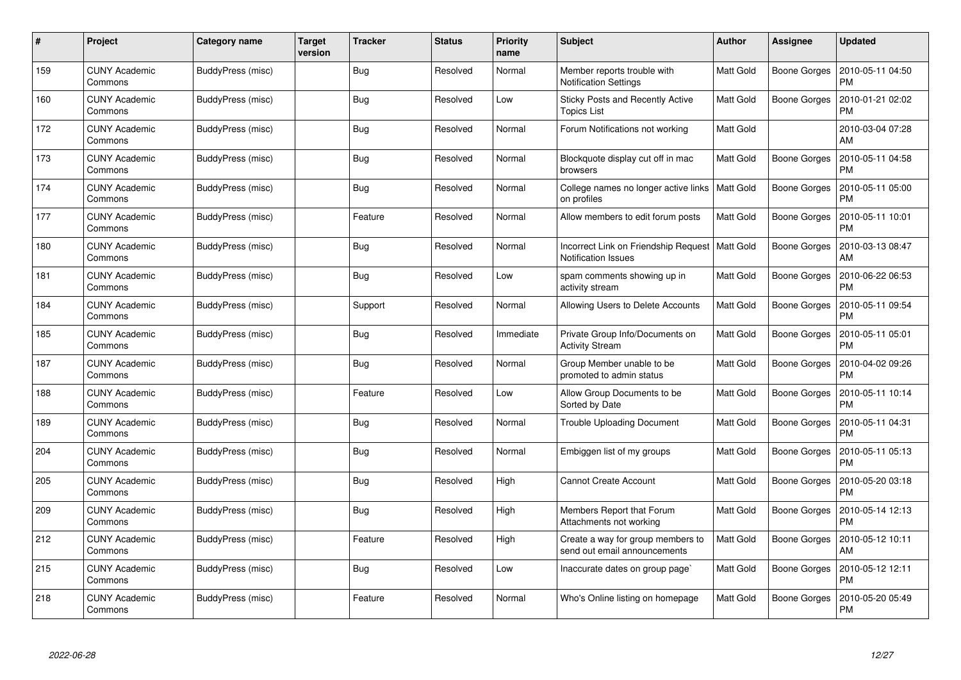| #   | Project                         | <b>Category name</b> | <b>Target</b><br>version | <b>Tracker</b> | <b>Status</b> | <b>Priority</b><br>name | <b>Subject</b>                                                     | <b>Author</b> | <b>Assignee</b>     | <b>Updated</b>                |
|-----|---------------------------------|----------------------|--------------------------|----------------|---------------|-------------------------|--------------------------------------------------------------------|---------------|---------------------|-------------------------------|
| 159 | <b>CUNY Academic</b><br>Commons | BuddyPress (misc)    |                          | <b>Bug</b>     | Resolved      | Normal                  | Member reports trouble with<br><b>Notification Settings</b>        | Matt Gold     | Boone Gorges        | 2010-05-11 04:50<br><b>PM</b> |
| 160 | <b>CUNY Academic</b><br>Commons | BuddyPress (misc)    |                          | <b>Bug</b>     | Resolved      | Low                     | Sticky Posts and Recently Active<br><b>Topics List</b>             | Matt Gold     | Boone Gorges        | 2010-01-21 02:02<br><b>PM</b> |
| 172 | <b>CUNY Academic</b><br>Commons | BuddyPress (misc)    |                          | <b>Bug</b>     | Resolved      | Normal                  | Forum Notifications not working                                    | Matt Gold     |                     | 2010-03-04 07:28<br>AM        |
| 173 | <b>CUNY Academic</b><br>Commons | BuddyPress (misc)    |                          | <b>Bug</b>     | Resolved      | Normal                  | Blockquote display cut off in mac<br><b>browsers</b>               | Matt Gold     | Boone Gorges        | 2010-05-11 04:58<br><b>PM</b> |
| 174 | <b>CUNY Academic</b><br>Commons | BuddyPress (misc)    |                          | <b>Bug</b>     | Resolved      | Normal                  | College names no longer active links<br>on profiles                | Matt Gold     | Boone Gorges        | 2010-05-11 05:00<br><b>PM</b> |
| 177 | <b>CUNY Academic</b><br>Commons | BuddyPress (misc)    |                          | Feature        | Resolved      | Normal                  | Allow members to edit forum posts                                  | Matt Gold     | <b>Boone Gorges</b> | 2010-05-11 10:01<br><b>PM</b> |
| 180 | <b>CUNY Academic</b><br>Commons | BuddyPress (misc)    |                          | <b>Bug</b>     | Resolved      | Normal                  | Incorrect Link on Friendship Request<br><b>Notification Issues</b> | Matt Gold     | Boone Gorges        | 2010-03-13 08:47<br>AM        |
| 181 | <b>CUNY Academic</b><br>Commons | BuddyPress (misc)    |                          | <b>Bug</b>     | Resolved      | Low                     | spam comments showing up in<br>activity stream                     | Matt Gold     | Boone Gorges        | 2010-06-22 06:53<br><b>PM</b> |
| 184 | <b>CUNY Academic</b><br>Commons | BuddyPress (misc)    |                          | Support        | Resolved      | Normal                  | Allowing Users to Delete Accounts                                  | Matt Gold     | Boone Gorges        | 2010-05-11 09:54<br><b>PM</b> |
| 185 | <b>CUNY Academic</b><br>Commons | BuddyPress (misc)    |                          | <b>Bug</b>     | Resolved      | Immediate               | Private Group Info/Documents on<br><b>Activity Stream</b>          | Matt Gold     | Boone Gorges        | 2010-05-11 05:01<br><b>PM</b> |
| 187 | <b>CUNY Academic</b><br>Commons | BuddyPress (misc)    |                          | <b>Bug</b>     | Resolved      | Normal                  | Group Member unable to be<br>promoted to admin status              | Matt Gold     | Boone Gorges        | 2010-04-02 09:26<br><b>PM</b> |
| 188 | <b>CUNY Academic</b><br>Commons | BuddyPress (misc)    |                          | Feature        | Resolved      | Low                     | Allow Group Documents to be<br>Sorted by Date                      | Matt Gold     | Boone Gorges        | 2010-05-11 10:14<br><b>PM</b> |
| 189 | <b>CUNY Academic</b><br>Commons | BuddyPress (misc)    |                          | <b>Bug</b>     | Resolved      | Normal                  | <b>Trouble Uploading Document</b>                                  | Matt Gold     | Boone Gorges        | 2010-05-11 04:31<br><b>PM</b> |
| 204 | <b>CUNY Academic</b><br>Commons | BuddyPress (misc)    |                          | <b>Bug</b>     | Resolved      | Normal                  | Embiggen list of my groups                                         | Matt Gold     | Boone Gorges        | 2010-05-11 05:13<br><b>PM</b> |
| 205 | <b>CUNY Academic</b><br>Commons | BuddyPress (misc)    |                          | <b>Bug</b>     | Resolved      | High                    | <b>Cannot Create Account</b>                                       | Matt Gold     | Boone Gorges        | 2010-05-20 03:18<br><b>PM</b> |
| 209 | <b>CUNY Academic</b><br>Commons | BuddyPress (misc)    |                          | <b>Bug</b>     | Resolved      | High                    | Members Report that Forum<br>Attachments not working               | Matt Gold     | Boone Gorges        | 2010-05-14 12:13<br><b>PM</b> |
| 212 | <b>CUNY Academic</b><br>Commons | BuddyPress (misc)    |                          | Feature        | Resolved      | High                    | Create a way for group members to<br>send out email announcements  | Matt Gold     | Boone Gorges        | 2010-05-12 10:11<br>AM        |
| 215 | <b>CUNY Academic</b><br>Commons | BuddyPress (misc)    |                          | <b>Bug</b>     | Resolved      | Low                     | Inaccurate dates on group page`                                    | Matt Gold     | <b>Boone Gorges</b> | 2010-05-12 12:11<br><b>PM</b> |
| 218 | <b>CUNY Academic</b><br>Commons | BuddyPress (misc)    |                          | Feature        | Resolved      | Normal                  | Who's Online listing on homepage                                   | Matt Gold     | Boone Gorges        | 2010-05-20 05:49<br>PM        |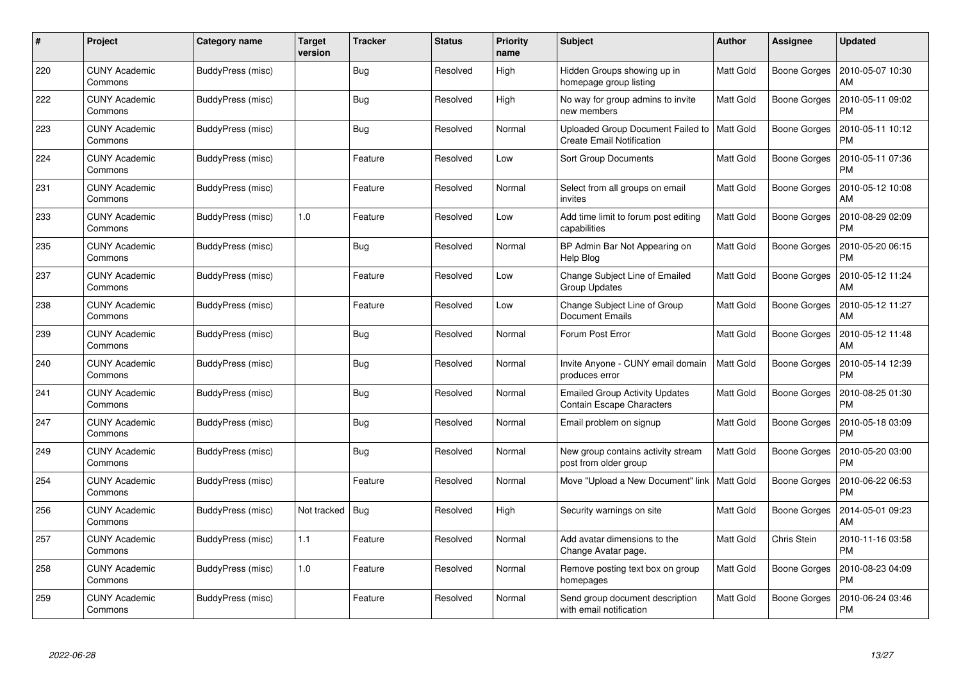| #   | <b>Project</b>                  | <b>Category name</b> | <b>Target</b><br>version | <b>Tracker</b> | <b>Status</b> | <b>Priority</b><br>name | <b>Subject</b>                                                            | <b>Author</b>    | <b>Assignee</b>     | <b>Updated</b>                |
|-----|---------------------------------|----------------------|--------------------------|----------------|---------------|-------------------------|---------------------------------------------------------------------------|------------------|---------------------|-------------------------------|
| 220 | <b>CUNY Academic</b><br>Commons | BuddyPress (misc)    |                          | <b>Bug</b>     | Resolved      | High                    | Hidden Groups showing up in<br>homepage group listing                     | Matt Gold        | <b>Boone Gorges</b> | 2010-05-07 10:30<br>AM        |
| 222 | <b>CUNY Academic</b><br>Commons | BuddyPress (misc)    |                          | <b>Bug</b>     | Resolved      | High                    | No way for group admins to invite<br>new members                          | Matt Gold        | Boone Gorges        | 2010-05-11 09:02<br><b>PM</b> |
| 223 | <b>CUNY Academic</b><br>Commons | BuddyPress (misc)    |                          | <b>Bug</b>     | Resolved      | Normal                  | Uploaded Group Document Failed to<br><b>Create Email Notification</b>     | Matt Gold        | <b>Boone Gorges</b> | 2010-05-11 10:12<br><b>PM</b> |
| 224 | <b>CUNY Academic</b><br>Commons | BuddyPress (misc)    |                          | Feature        | Resolved      | Low                     | <b>Sort Group Documents</b>                                               | Matt Gold        | Boone Gorges        | 2010-05-11 07:36<br><b>PM</b> |
| 231 | <b>CUNY Academic</b><br>Commons | BuddyPress (misc)    |                          | Feature        | Resolved      | Normal                  | Select from all groups on email<br>invites                                | Matt Gold        | <b>Boone Gorges</b> | 2010-05-12 10:08<br>AM        |
| 233 | <b>CUNY Academic</b><br>Commons | BuddyPress (misc)    | 1.0                      | Feature        | Resolved      | Low                     | Add time limit to forum post editing<br>capabilities                      | <b>Matt Gold</b> | <b>Boone Gorges</b> | 2010-08-29 02:09<br><b>PM</b> |
| 235 | <b>CUNY Academic</b><br>Commons | BuddyPress (misc)    |                          | <b>Bug</b>     | Resolved      | Normal                  | BP Admin Bar Not Appearing on<br>Help Blog                                | Matt Gold        | Boone Gorges        | 2010-05-20 06:15<br><b>PM</b> |
| 237 | <b>CUNY Academic</b><br>Commons | BuddyPress (misc)    |                          | Feature        | Resolved      | Low                     | Change Subject Line of Emailed<br><b>Group Updates</b>                    | Matt Gold        | Boone Gorges        | 2010-05-12 11:24<br>AM        |
| 238 | <b>CUNY Academic</b><br>Commons | BuddyPress (misc)    |                          | Feature        | Resolved      | Low                     | Change Subject Line of Group<br><b>Document Emails</b>                    | Matt Gold        | Boone Gorges        | 2010-05-12 11:27<br>AM        |
| 239 | <b>CUNY Academic</b><br>Commons | BuddyPress (misc)    |                          | <b>Bug</b>     | Resolved      | Normal                  | Forum Post Error                                                          | Matt Gold        | Boone Gorges        | 2010-05-12 11:48<br>AM        |
| 240 | <b>CUNY Academic</b><br>Commons | BuddyPress (misc)    |                          | <b>Bug</b>     | Resolved      | Normal                  | Invite Anyone - CUNY email domain<br>produces error                       | Matt Gold        | Boone Gorges        | 2010-05-14 12:39<br><b>PM</b> |
| 241 | <b>CUNY Academic</b><br>Commons | BuddyPress (misc)    |                          | <b>Bug</b>     | Resolved      | Normal                  | <b>Emailed Group Activity Updates</b><br><b>Contain Escape Characters</b> | Matt Gold        | Boone Gorges        | 2010-08-25 01:30<br><b>PM</b> |
| 247 | <b>CUNY Academic</b><br>Commons | BuddyPress (misc)    |                          | <b>Bug</b>     | Resolved      | Normal                  | Email problem on signup                                                   | Matt Gold        | Boone Gorges        | 2010-05-18 03:09<br><b>PM</b> |
| 249 | <b>CUNY Academic</b><br>Commons | BuddyPress (misc)    |                          | <b>Bug</b>     | Resolved      | Normal                  | New group contains activity stream<br>post from older group               | Matt Gold        | <b>Boone Gorges</b> | 2010-05-20 03:00<br><b>PM</b> |
| 254 | <b>CUNY Academic</b><br>Commons | BuddyPress (misc)    |                          | Feature        | Resolved      | Normal                  | Move "Upload a New Document" link   Matt Gold                             |                  | Boone Gorges        | 2010-06-22 06:53<br><b>PM</b> |
| 256 | <b>CUNY Academic</b><br>Commons | BuddyPress (misc)    | Not tracked              | <b>Bug</b>     | Resolved      | High                    | Security warnings on site                                                 | Matt Gold        | Boone Gorges        | 2014-05-01 09:23<br>AM        |
| 257 | <b>CUNY Academic</b><br>Commons | BuddyPress (misc)    | $1.1$                    | Feature        | Resolved      | Normal                  | Add avatar dimensions to the<br>Change Avatar page.                       | Matt Gold        | Chris Stein         | 2010-11-16 03:58<br><b>PM</b> |
| 258 | <b>CUNY Academic</b><br>Commons | BuddyPress (misc)    | $1.0$                    | Feature        | Resolved      | Normal                  | Remove posting text box on group<br>homepages                             | Matt Gold        | <b>Boone Gorges</b> | 2010-08-23 04:09<br><b>PM</b> |
| 259 | <b>CUNY Academic</b><br>Commons | BuddyPress (misc)    |                          | Feature        | Resolved      | Normal                  | Send group document description<br>with email notification                | Matt Gold        | Boone Gorges        | 2010-06-24 03:46<br>PM        |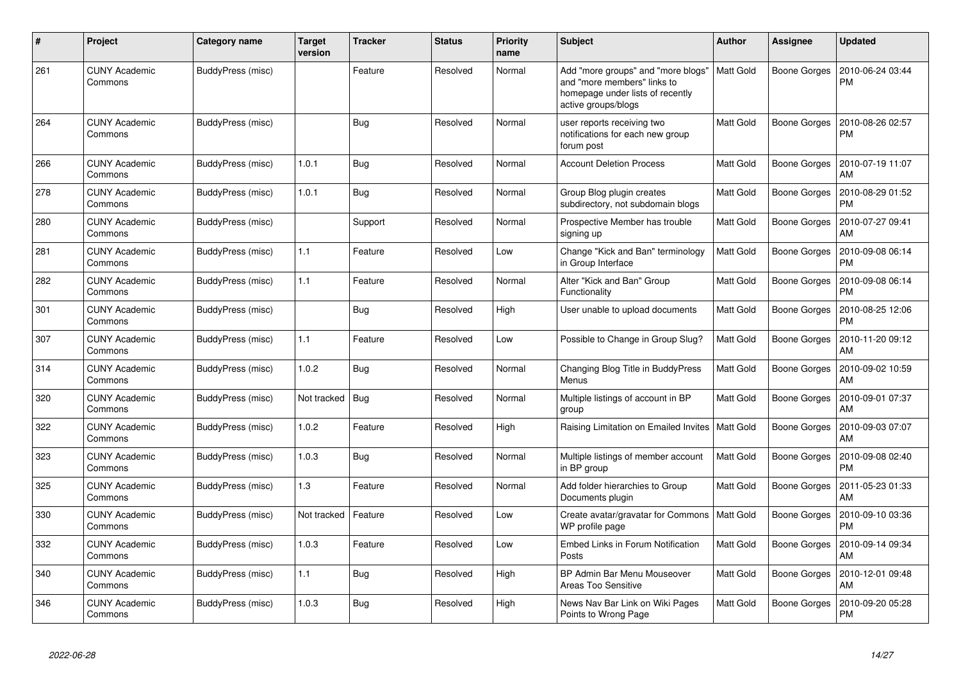| #   | Project                         | <b>Category name</b> | <b>Target</b><br>version | <b>Tracker</b> | <b>Status</b> | <b>Priority</b><br>name | <b>Subject</b>                                                                                                               | <b>Author</b>    | <b>Assignee</b>     | <b>Updated</b>                |
|-----|---------------------------------|----------------------|--------------------------|----------------|---------------|-------------------------|------------------------------------------------------------------------------------------------------------------------------|------------------|---------------------|-------------------------------|
| 261 | <b>CUNY Academic</b><br>Commons | BuddyPress (misc)    |                          | Feature        | Resolved      | Normal                  | Add "more groups" and "more blogs"<br>and "more members" links to<br>homepage under lists of recently<br>active groups/blogs | <b>Matt Gold</b> | Boone Gorges        | 2010-06-24 03:44<br><b>PM</b> |
| 264 | <b>CUNY Academic</b><br>Commons | BuddyPress (misc)    |                          | <b>Bug</b>     | Resolved      | Normal                  | user reports receiving two<br>notifications for each new group<br>forum post                                                 | <b>Matt Gold</b> | Boone Gorges        | 2010-08-26 02:57<br><b>PM</b> |
| 266 | <b>CUNY Academic</b><br>Commons | BuddyPress (misc)    | 1.0.1                    | <b>Bug</b>     | Resolved      | Normal                  | <b>Account Deletion Process</b>                                                                                              | Matt Gold        | Boone Gorges        | 2010-07-19 11:07<br>AM        |
| 278 | <b>CUNY Academic</b><br>Commons | BuddyPress (misc)    | 1.0.1                    | <b>Bug</b>     | Resolved      | Normal                  | Group Blog plugin creates<br>subdirectory, not subdomain blogs                                                               | Matt Gold        | <b>Boone Gorges</b> | 2010-08-29 01:52<br><b>PM</b> |
| 280 | <b>CUNY Academic</b><br>Commons | BuddyPress (misc)    |                          | Support        | Resolved      | Normal                  | Prospective Member has trouble<br>signing up                                                                                 | Matt Gold        | Boone Gorges        | 2010-07-27 09:41<br>AM        |
| 281 | <b>CUNY Academic</b><br>Commons | BuddyPress (misc)    | $1.1$                    | Feature        | Resolved      | Low                     | Change "Kick and Ban" terminology<br>in Group Interface                                                                      | <b>Matt Gold</b> | Boone Gorges        | 2010-09-08 06:14<br><b>PM</b> |
| 282 | <b>CUNY Academic</b><br>Commons | BuddyPress (misc)    | 1.1                      | Feature        | Resolved      | Normal                  | Alter "Kick and Ban" Group<br>Functionality                                                                                  | Matt Gold        | Boone Gorges        | 2010-09-08 06:14<br><b>PM</b> |
| 301 | <b>CUNY Academic</b><br>Commons | BuddyPress (misc)    |                          | Bug            | Resolved      | High                    | User unable to upload documents                                                                                              | Matt Gold        | Boone Gorges        | 2010-08-25 12:06<br><b>PM</b> |
| 307 | <b>CUNY Academic</b><br>Commons | BuddyPress (misc)    | 1.1                      | Feature        | Resolved      | Low                     | Possible to Change in Group Slug?                                                                                            | <b>Matt Gold</b> | Boone Gorges        | 2010-11-20 09:12<br>AM        |
| 314 | <b>CUNY Academic</b><br>Commons | BuddyPress (misc)    | 1.0.2                    | <b>Bug</b>     | Resolved      | Normal                  | Changing Blog Title in BuddyPress<br>Menus                                                                                   | Matt Gold        | Boone Gorges        | 2010-09-02 10:59<br>AM        |
| 320 | <b>CUNY Academic</b><br>Commons | BuddyPress (misc)    | Not tracked              | Bug            | Resolved      | Normal                  | Multiple listings of account in BP<br>group                                                                                  | Matt Gold        | <b>Boone Gorges</b> | 2010-09-01 07:37<br>AM        |
| 322 | <b>CUNY Academic</b><br>Commons | BuddyPress (misc)    | 1.0.2                    | Feature        | Resolved      | High                    | Raising Limitation on Emailed Invites                                                                                        | <b>Matt Gold</b> | Boone Gorges        | 2010-09-03 07:07<br>AM        |
| 323 | <b>CUNY Academic</b><br>Commons | BuddyPress (misc)    | 1.0.3                    | <b>Bug</b>     | Resolved      | Normal                  | Multiple listings of member account<br>in BP group                                                                           | Matt Gold        | Boone Gorges        | 2010-09-08 02:40<br><b>PM</b> |
| 325 | <b>CUNY Academic</b><br>Commons | BuddyPress (misc)    | 1.3                      | Feature        | Resolved      | Normal                  | Add folder hierarchies to Group<br>Documents plugin                                                                          | Matt Gold        | Boone Gorges        | 2011-05-23 01:33<br>AM        |
| 330 | <b>CUNY Academic</b><br>Commons | BuddyPress (misc)    | Not tracked              | Feature        | Resolved      | Low                     | Create avatar/gravatar for Commons   Matt Gold<br>WP profile page                                                            |                  | Boone Gorges        | 2010-09-10 03:36<br><b>PM</b> |
| 332 | <b>CUNY Academic</b><br>Commons | BuddyPress (misc)    | 1.0.3                    | Feature        | Resolved      | Low                     | Embed Links in Forum Notification<br>Posts                                                                                   | Matt Gold        | Boone Gorges        | 2010-09-14 09:34<br>AM        |
| 340 | <b>CUNY Academic</b><br>Commons | BuddyPress (misc)    | 1.1                      | <b>Bug</b>     | Resolved      | High                    | BP Admin Bar Menu Mouseover<br>Areas Too Sensitive                                                                           | Matt Gold        | Boone Gorges        | 2010-12-01 09:48<br>AM        |
| 346 | <b>CUNY Academic</b><br>Commons | BuddyPress (misc)    | 1.0.3                    | <b>Bug</b>     | Resolved      | High                    | News Nav Bar Link on Wiki Pages<br>Points to Wrong Page                                                                      | Matt Gold        | Boone Gorges        | 2010-09-20 05:28<br><b>PM</b> |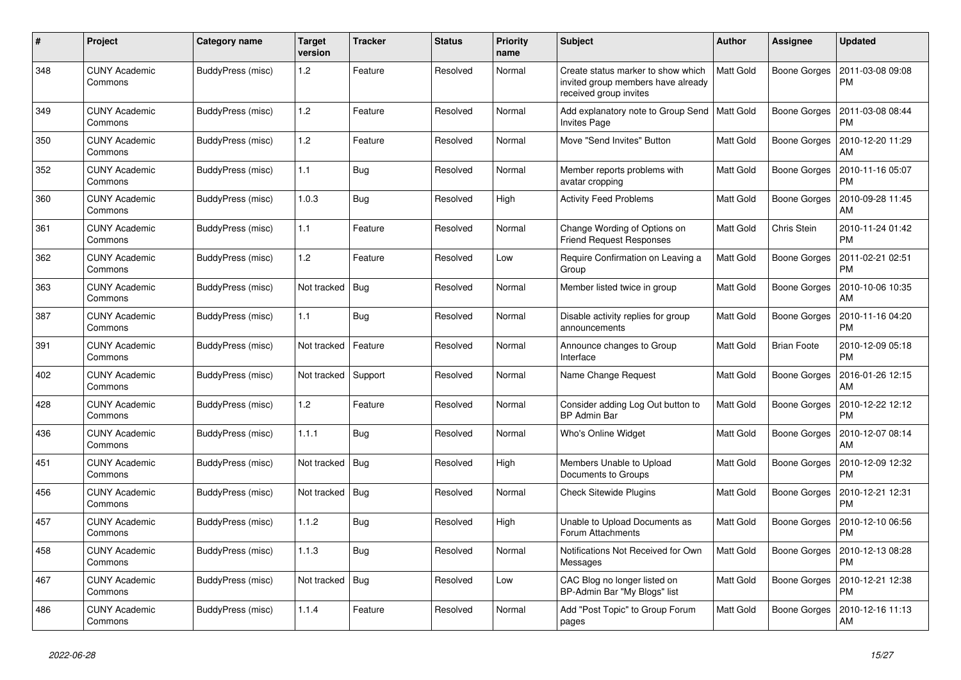| $\#$ | Project                         | Category name     | <b>Target</b><br>version | <b>Tracker</b> | <b>Status</b> | <b>Priority</b><br>name | <b>Subject</b>                                                                                     | <b>Author</b>    | Assignee           | <b>Updated</b>                |
|------|---------------------------------|-------------------|--------------------------|----------------|---------------|-------------------------|----------------------------------------------------------------------------------------------------|------------------|--------------------|-------------------------------|
| 348  | <b>CUNY Academic</b><br>Commons | BuddyPress (misc) | 1.2                      | Feature        | Resolved      | Normal                  | Create status marker to show which<br>invited group members have already<br>received group invites | <b>Matt Gold</b> | Boone Gorges       | 2011-03-08 09:08<br><b>PM</b> |
| 349  | <b>CUNY Academic</b><br>Commons | BuddyPress (misc) | 1.2                      | Feature        | Resolved      | Normal                  | Add explanatory note to Group Send   Matt Gold<br><b>Invites Page</b>                              |                  | Boone Gorges       | 2011-03-08 08:44<br><b>PM</b> |
| 350  | <b>CUNY Academic</b><br>Commons | BuddyPress (misc) | 1.2                      | Feature        | Resolved      | Normal                  | Move "Send Invites" Button                                                                         | Matt Gold        | Boone Gorges       | 2010-12-20 11:29<br>AM        |
| 352  | <b>CUNY Academic</b><br>Commons | BuddyPress (misc) | 1.1                      | <b>Bug</b>     | Resolved      | Normal                  | Member reports problems with<br>avatar cropping                                                    | Matt Gold        | Boone Gorges       | 2010-11-16 05:07<br><b>PM</b> |
| 360  | <b>CUNY Academic</b><br>Commons | BuddyPress (misc) | 1.0.3                    | Bug            | Resolved      | High                    | <b>Activity Feed Problems</b>                                                                      | Matt Gold        | Boone Gorges       | 2010-09-28 11:45<br>AM        |
| 361  | CUNY Academic<br>Commons        | BuddyPress (misc) | 1.1                      | Feature        | Resolved      | Normal                  | Change Wording of Options on<br><b>Friend Request Responses</b>                                    | <b>Matt Gold</b> | Chris Stein        | 2010-11-24 01:42<br><b>PM</b> |
| 362  | <b>CUNY Academic</b><br>Commons | BuddyPress (misc) | 1.2                      | Feature        | Resolved      | Low                     | Require Confirmation on Leaving a<br>Group                                                         | Matt Gold        | Boone Gorges       | 2011-02-21 02:51<br><b>PM</b> |
| 363  | <b>CUNY Academic</b><br>Commons | BuddyPress (misc) | Not tracked              | Bug            | Resolved      | Normal                  | Member listed twice in group                                                                       | Matt Gold        | Boone Gorges       | 2010-10-06 10:35<br>AM        |
| 387  | <b>CUNY Academic</b><br>Commons | BuddyPress (misc) | 1.1                      | <b>Bug</b>     | Resolved      | Normal                  | Disable activity replies for group<br>announcements                                                | Matt Gold        | Boone Gorges       | 2010-11-16 04:20<br><b>PM</b> |
| 391  | <b>CUNY Academic</b><br>Commons | BuddyPress (misc) | Not tracked              | Feature        | Resolved      | Normal                  | Announce changes to Group<br>Interface                                                             | Matt Gold        | <b>Brian Foote</b> | 2010-12-09 05:18<br><b>PM</b> |
| 402  | <b>CUNY Academic</b><br>Commons | BuddyPress (misc) | Not tracked              | Support        | Resolved      | Normal                  | Name Change Request                                                                                | Matt Gold        | Boone Gorges       | 2016-01-26 12:15<br>AM        |
| 428  | <b>CUNY Academic</b><br>Commons | BuddyPress (misc) | 1.2                      | Feature        | Resolved      | Normal                  | Consider adding Log Out button to<br><b>BP Admin Bar</b>                                           | Matt Gold        | Boone Gorges       | 2010-12-22 12:12<br><b>PM</b> |
| 436  | <b>CUNY Academic</b><br>Commons | BuddyPress (misc) | 1.1.1                    | <b>Bug</b>     | Resolved      | Normal                  | Who's Online Widget                                                                                | Matt Gold        | Boone Gorges       | 2010-12-07 08:14<br>AM        |
| 451  | <b>CUNY Academic</b><br>Commons | BuddyPress (misc) | Not tracked              | <b>Bug</b>     | Resolved      | High                    | Members Unable to Upload<br>Documents to Groups                                                    | Matt Gold        | Boone Gorges       | 2010-12-09 12:32<br><b>PM</b> |
| 456  | <b>CUNY Academic</b><br>Commons | BuddyPress (misc) | Not tracked              | <b>Bug</b>     | Resolved      | Normal                  | <b>Check Sitewide Plugins</b>                                                                      | Matt Gold        | Boone Gorges       | 2010-12-21 12:31<br><b>PM</b> |
| 457  | <b>CUNY Academic</b><br>Commons | BuddyPress (misc) | 1.1.2                    | <b>Bug</b>     | Resolved      | High                    | Unable to Upload Documents as<br>Forum Attachments                                                 | Matt Gold        | Boone Gorges       | 2010-12-10 06:56<br>РM        |
| 458  | <b>CUNY Academic</b><br>Commons | BuddyPress (misc) | 1.1.3                    | <b>Bug</b>     | Resolved      | Normal                  | Notifications Not Received for Own<br>Messages                                                     | Matt Gold        | Boone Gorges       | 2010-12-13 08:28<br><b>PM</b> |
| 467  | <b>CUNY Academic</b><br>Commons | BuddyPress (misc) | Not tracked              | Bug            | Resolved      | Low                     | CAC Blog no longer listed on<br>BP-Admin Bar "My Blogs" list                                       | Matt Gold        | Boone Gorges       | 2010-12-21 12:38<br><b>PM</b> |
| 486  | <b>CUNY Academic</b><br>Commons | BuddyPress (misc) | 1.1.4                    | Feature        | Resolved      | Normal                  | Add "Post Topic" to Group Forum<br>pages                                                           | Matt Gold        | Boone Gorges       | 2010-12-16 11:13<br>AM        |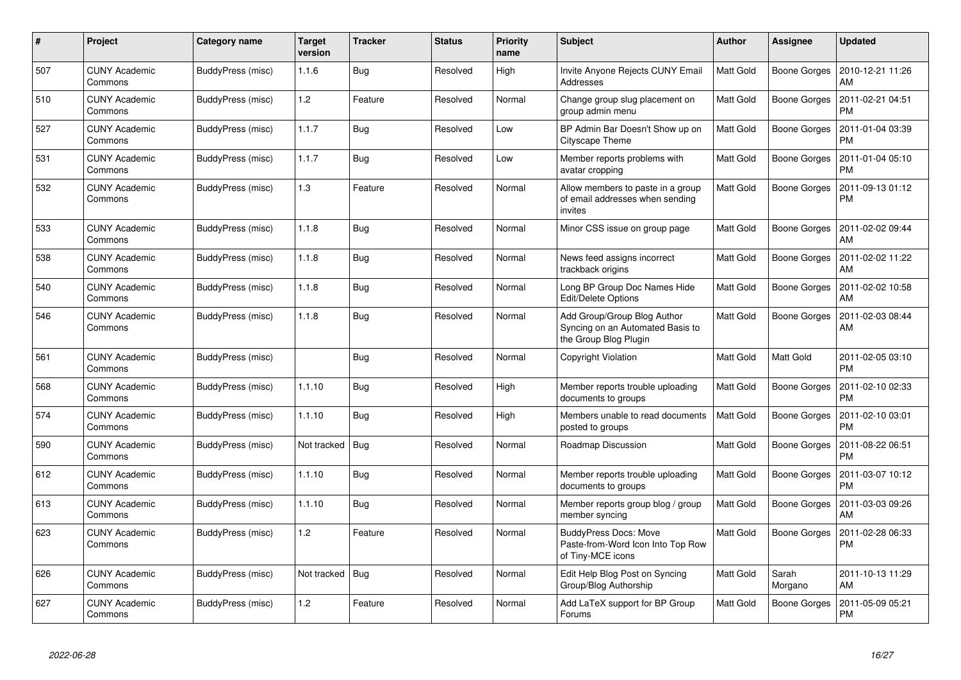| #   | Project                         | Category name     | <b>Target</b><br>version | <b>Tracker</b> | <b>Status</b> | <b>Priority</b><br>name | <b>Subject</b>                                                                           | <b>Author</b>    | Assignee            | <b>Updated</b>                |
|-----|---------------------------------|-------------------|--------------------------|----------------|---------------|-------------------------|------------------------------------------------------------------------------------------|------------------|---------------------|-------------------------------|
| 507 | <b>CUNY Academic</b><br>Commons | BuddyPress (misc) | 1.1.6                    | <b>Bug</b>     | Resolved      | High                    | Invite Anyone Rejects CUNY Email<br>Addresses                                            | Matt Gold        | Boone Gorges        | 2010-12-21 11:26<br>AM        |
| 510 | <b>CUNY Academic</b><br>Commons | BuddyPress (misc) | 1.2                      | Feature        | Resolved      | Normal                  | Change group slug placement on<br>group admin menu                                       | Matt Gold        | <b>Boone Gorges</b> | 2011-02-21 04:51<br><b>PM</b> |
| 527 | <b>CUNY Academic</b><br>Commons | BuddyPress (misc) | 1.1.7                    | <b>Bug</b>     | Resolved      | Low                     | BP Admin Bar Doesn't Show up on<br><b>Cityscape Theme</b>                                | Matt Gold        | <b>Boone Gorges</b> | 2011-01-04 03:39<br><b>PM</b> |
| 531 | <b>CUNY Academic</b><br>Commons | BuddyPress (misc) | 1.1.7                    | <b>Bug</b>     | Resolved      | Low                     | Member reports problems with<br>avatar cropping                                          | Matt Gold        | Boone Gorges        | 2011-01-04 05:10<br><b>PM</b> |
| 532 | <b>CUNY Academic</b><br>Commons | BuddyPress (misc) | 1.3                      | Feature        | Resolved      | Normal                  | Allow members to paste in a group<br>of email addresses when sending<br>invites          | Matt Gold        | Boone Gorges        | 2011-09-13 01:12<br><b>PM</b> |
| 533 | <b>CUNY Academic</b><br>Commons | BuddyPress (misc) | 1.1.8                    | Bug            | Resolved      | Normal                  | Minor CSS issue on group page                                                            | Matt Gold        | Boone Gorges        | 2011-02-02 09:44<br><b>AM</b> |
| 538 | <b>CUNY Academic</b><br>Commons | BuddyPress (misc) | 1.1.8                    | <b>Bug</b>     | Resolved      | Normal                  | News feed assigns incorrect<br>trackback origins                                         | Matt Gold        | Boone Gorges        | 2011-02-02 11:22<br>AM        |
| 540 | <b>CUNY Academic</b><br>Commons | BuddyPress (misc) | 1.1.8                    | <b>Bug</b>     | Resolved      | Normal                  | Long BP Group Doc Names Hide<br>Edit/Delete Options                                      | Matt Gold        | <b>Boone Gorges</b> | 2011-02-02 10:58<br>AM        |
| 546 | <b>CUNY Academic</b><br>Commons | BuddyPress (misc) | 1.1.8                    | <b>Bug</b>     | Resolved      | Normal                  | Add Group/Group Blog Author<br>Syncing on an Automated Basis to<br>the Group Blog Plugin | Matt Gold        | Boone Gorges        | 2011-02-03 08:44<br>AM        |
| 561 | <b>CUNY Academic</b><br>Commons | BuddyPress (misc) |                          | <b>Bug</b>     | Resolved      | Normal                  | Copyright Violation                                                                      | Matt Gold        | Matt Gold           | 2011-02-05 03:10<br><b>PM</b> |
| 568 | <b>CUNY Academic</b><br>Commons | BuddyPress (misc) | 1.1.10                   | <b>Bug</b>     | Resolved      | High                    | Member reports trouble uploading<br>documents to groups                                  | <b>Matt Gold</b> | <b>Boone Gorges</b> | 2011-02-10 02:33<br><b>PM</b> |
| 574 | <b>CUNY Academic</b><br>Commons | BuddyPress (misc) | 1.1.10                   | Bug            | Resolved      | High                    | Members unable to read documents<br>posted to groups                                     | Matt Gold        | <b>Boone Gorges</b> | 2011-02-10 03:01<br><b>PM</b> |
| 590 | <b>CUNY Academic</b><br>Commons | BuddyPress (misc) | Not tracked              | Bug            | Resolved      | Normal                  | Roadmap Discussion                                                                       | Matt Gold        | <b>Boone Gorges</b> | 2011-08-22 06:51<br><b>PM</b> |
| 612 | <b>CUNY Academic</b><br>Commons | BuddyPress (misc) | 1.1.10                   | <b>Bug</b>     | Resolved      | Normal                  | Member reports trouble uploading<br>documents to groups                                  | Matt Gold        | Boone Gorges        | 2011-03-07 10:12<br><b>PM</b> |
| 613 | <b>CUNY Academic</b><br>Commons | BuddyPress (misc) | 1.1.10                   | <b>Bug</b>     | Resolved      | Normal                  | Member reports group blog / group<br>member syncing                                      | Matt Gold        | Boone Gorges        | 2011-03-03 09:26<br>AM        |
| 623 | <b>CUNY Academic</b><br>Commons | BuddyPress (misc) | 1.2                      | Feature        | Resolved      | Normal                  | <b>BuddyPress Docs: Move</b><br>Paste-from-Word Icon Into Top Row<br>of Tiny-MCE icons   | Matt Gold        | <b>Boone Gorges</b> | 2011-02-28 06:33<br><b>PM</b> |
| 626 | <b>CUNY Academic</b><br>Commons | BuddyPress (misc) | Not tracked              | Bug            | Resolved      | Normal                  | Edit Help Blog Post on Syncing<br>Group/Blog Authorship                                  | <b>Matt Gold</b> | Sarah<br>Morgano    | 2011-10-13 11:29<br>AM        |
| 627 | <b>CUNY Academic</b><br>Commons | BuddyPress (misc) | 1.2                      | Feature        | Resolved      | Normal                  | Add LaTeX support for BP Group<br>Forums                                                 | Matt Gold        | Boone Gorges        | 2011-05-09 05:21<br><b>PM</b> |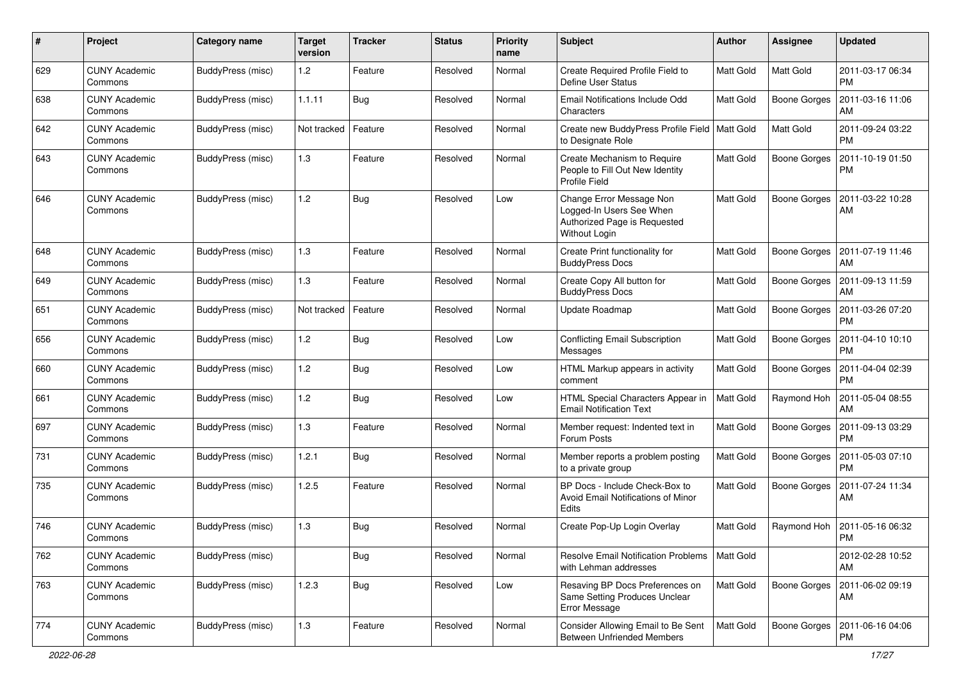| $\pmb{\#}$ | Project                         | <b>Category name</b>     | Target<br>version | <b>Tracker</b> | <b>Status</b> | <b>Priority</b><br>name | Subject                                                                                               | Author           | Assignee            | <b>Updated</b>                |
|------------|---------------------------------|--------------------------|-------------------|----------------|---------------|-------------------------|-------------------------------------------------------------------------------------------------------|------------------|---------------------|-------------------------------|
| 629        | <b>CUNY Academic</b><br>Commons | <b>BuddyPress (misc)</b> | 1.2               | Feature        | Resolved      | Normal                  | Create Required Profile Field to<br><b>Define User Status</b>                                         | <b>Matt Gold</b> | <b>Matt Gold</b>    | 2011-03-17 06:34<br><b>PM</b> |
| 638        | <b>CUNY Academic</b><br>Commons | BuddyPress (misc)        | 1.1.11            | Bug            | Resolved      | Normal                  | Email Notifications Include Odd<br>Characters                                                         | <b>Matt Gold</b> | Boone Gorges        | 2011-03-16 11:06<br>AM        |
| 642        | <b>CUNY Academic</b><br>Commons | BuddyPress (misc)        | Not tracked       | Feature        | Resolved      | Normal                  | Create new BuddyPress Profile Field   Matt Gold<br>to Designate Role                                  |                  | <b>Matt Gold</b>    | 2011-09-24 03:22<br><b>PM</b> |
| 643        | <b>CUNY Academic</b><br>Commons | BuddyPress (misc)        | 1.3               | Feature        | Resolved      | Normal                  | Create Mechanism to Require<br>People to Fill Out New Identity<br><b>Profile Field</b>                | <b>Matt Gold</b> | <b>Boone Gorges</b> | 2011-10-19 01:50<br><b>PM</b> |
| 646        | <b>CUNY Academic</b><br>Commons | BuddyPress (misc)        | 1.2               | Bug            | Resolved      | Low                     | Change Error Message Non<br>Logged-In Users See When<br>Authorized Page is Requested<br>Without Login | Matt Gold        | <b>Boone Gorges</b> | 2011-03-22 10:28<br>AM        |
| 648        | <b>CUNY Academic</b><br>Commons | BuddyPress (misc)        | $1.3$             | Feature        | Resolved      | Normal                  | Create Print functionality for<br><b>BuddyPress Docs</b>                                              | Matt Gold        | <b>Boone Gorges</b> | 2011-07-19 11:46<br>AM        |
| 649        | <b>CUNY Academic</b><br>Commons | BuddyPress (misc)        | 1.3               | Feature        | Resolved      | Normal                  | Create Copy All button for<br><b>BuddyPress Docs</b>                                                  | Matt Gold        | <b>Boone Gorges</b> | 2011-09-13 11:59<br>AM        |
| 651        | <b>CUNY Academic</b><br>Commons | BuddyPress (misc)        | Not tracked       | Feature        | Resolved      | Normal                  | Update Roadmap                                                                                        | <b>Matt Gold</b> | <b>Boone Gorges</b> | 2011-03-26 07:20<br><b>PM</b> |
| 656        | <b>CUNY Academic</b><br>Commons | BuddyPress (misc)        | $1.2$             | <b>Bug</b>     | Resolved      | Low                     | <b>Conflicting Email Subscription</b><br>Messages                                                     | <b>Matt Gold</b> | Boone Gorges        | 2011-04-10 10:10<br><b>PM</b> |
| 660        | <b>CUNY Academic</b><br>Commons | BuddyPress (misc)        | 1.2               | <b>Bug</b>     | Resolved      | Low                     | HTML Markup appears in activity<br>comment                                                            | Matt Gold        | Boone Gorges        | 2011-04-04 02:39<br><b>PM</b> |
| 661        | <b>CUNY Academic</b><br>Commons | BuddyPress (misc)        | 1.2               | <b>Bug</b>     | Resolved      | Low                     | HTML Special Characters Appear in<br><b>Email Notification Text</b>                                   | Matt Gold        | Raymond Hoh         | 2011-05-04 08:55<br>AM        |
| 697        | <b>CUNY Academic</b><br>Commons | BuddyPress (misc)        | 1.3               | Feature        | Resolved      | Normal                  | Member request: Indented text in<br>Forum Posts                                                       | Matt Gold        | Boone Gorges        | 2011-09-13 03:29<br><b>PM</b> |
| 731        | <b>CUNY Academic</b><br>Commons | BuddyPress (misc)        | 1.2.1             | Bug            | Resolved      | Normal                  | Member reports a problem posting<br>to a private group                                                | Matt Gold        | <b>Boone Gorges</b> | 2011-05-03 07:10<br><b>PM</b> |
| 735        | <b>CUNY Academic</b><br>Commons | BuddyPress (misc)        | 1.2.5             | Feature        | Resolved      | Normal                  | BP Docs - Include Check-Box to<br>Avoid Email Notifications of Minor<br>Edits                         | <b>Matt Gold</b> | <b>Boone Gorges</b> | 2011-07-24 11:34<br>AM        |
| 746        | <b>CUNY Academic</b><br>Commons | BuddyPress (misc)        | 1.3               | Bug            | Resolved      | Normal                  | Create Pop-Up Login Overlay                                                                           | <b>Matt Gold</b> | Raymond Hoh         | 2011-05-16 06:32<br><b>PM</b> |
| 762        | <b>CUNY Academic</b><br>Commons | BuddyPress (misc)        |                   | <b>Bug</b>     | Resolved      | Normal                  | Resolve Email Notification Problems<br>with Lehman addresses                                          | Matt Gold        |                     | 2012-02-28 10:52<br>AM        |
| 763        | <b>CUNY Academic</b><br>Commons | BuddyPress (misc)        | 1.2.3             | <b>Bug</b>     | Resolved      | Low                     | Resaving BP Docs Preferences on<br>Same Setting Produces Unclear<br>Error Message                     | Matt Gold        | <b>Boone Gorges</b> | 2011-06-02 09:19<br>AM        |
| 774        | <b>CUNY Academic</b><br>Commons | BuddyPress (misc)        | $1.3$             | Feature        | Resolved      | Normal                  | Consider Allowing Email to Be Sent<br><b>Between Unfriended Members</b>                               | Matt Gold        | Boone Gorges        | 2011-06-16 04:06<br>PM        |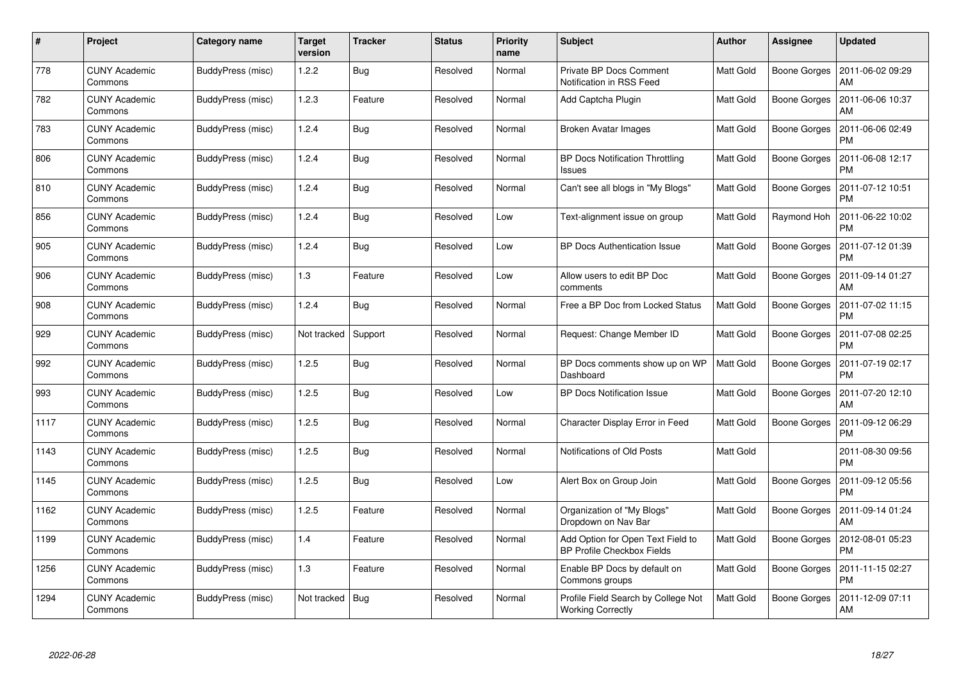| #    | Project                         | <b>Category name</b> | <b>Target</b><br>version | <b>Tracker</b> | Status   | <b>Priority</b><br>name | <b>Subject</b>                                                         | <b>Author</b>    | <b>Assignee</b>     | <b>Updated</b>                |
|------|---------------------------------|----------------------|--------------------------|----------------|----------|-------------------------|------------------------------------------------------------------------|------------------|---------------------|-------------------------------|
| 778  | <b>CUNY Academic</b><br>Commons | BuddyPress (misc)    | 1.2.2                    | <b>Bug</b>     | Resolved | Normal                  | <b>Private BP Docs Comment</b><br>Notification in RSS Feed             | Matt Gold        | Boone Gorges        | 2011-06-02 09:29<br>AM        |
| 782  | <b>CUNY Academic</b><br>Commons | BuddyPress (misc)    | 1.2.3                    | Feature        | Resolved | Normal                  | Add Captcha Plugin                                                     | Matt Gold        | <b>Boone Gorges</b> | 2011-06-06 10:37<br>AM        |
| 783  | <b>CUNY Academic</b><br>Commons | BuddyPress (misc)    | 1.2.4                    | <b>Bug</b>     | Resolved | Normal                  | <b>Broken Avatar Images</b>                                            | Matt Gold        | <b>Boone Gorges</b> | 2011-06-06 02:49<br><b>PM</b> |
| 806  | <b>CUNY Academic</b><br>Commons | BuddyPress (misc)    | 1.2.4                    | <b>Bug</b>     | Resolved | Normal                  | <b>BP Docs Notification Throttling</b><br>Issues                       | Matt Gold        | Boone Gorges        | 2011-06-08 12:17<br><b>PM</b> |
| 810  | <b>CUNY Academic</b><br>Commons | BuddyPress (misc)    | 1.2.4                    | Bug            | Resolved | Normal                  | Can't see all blogs in "My Blogs"                                      | Matt Gold        | Boone Gorges        | 2011-07-12 10:51<br><b>PM</b> |
| 856  | <b>CUNY Academic</b><br>Commons | BuddyPress (misc)    | 1.2.4                    | Bug            | Resolved | Low                     | Text-alignment issue on group                                          | Matt Gold        | Raymond Hoh         | 2011-06-22 10:02<br><b>PM</b> |
| 905  | <b>CUNY Academic</b><br>Commons | BuddyPress (misc)    | 1.2.4                    | <b>Bug</b>     | Resolved | Low                     | <b>BP Docs Authentication Issue</b>                                    | Matt Gold        | <b>Boone Gorges</b> | 2011-07-12 01:39<br><b>PM</b> |
| 906  | <b>CUNY Academic</b><br>Commons | BuddyPress (misc)    | 1.3                      | Feature        | Resolved | Low                     | Allow users to edit BP Doc<br>comments                                 | Matt Gold        | Boone Gorges        | 2011-09-14 01:27<br>AM        |
| 908  | <b>CUNY Academic</b><br>Commons | BuddyPress (misc)    | 1.2.4                    | Bug            | Resolved | Normal                  | Free a BP Doc from Locked Status                                       | <b>Matt Gold</b> | Boone Gorges        | 2011-07-02 11:15<br><b>PM</b> |
| 929  | <b>CUNY Academic</b><br>Commons | BuddyPress (misc)    | Not tracked              | Support        | Resolved | Normal                  | Request: Change Member ID                                              | Matt Gold        | Boone Gorges        | 2011-07-08 02:25<br><b>PM</b> |
| 992  | <b>CUNY Academic</b><br>Commons | BuddyPress (misc)    | 1.2.5                    | <b>Bug</b>     | Resolved | Normal                  | BP Docs comments show up on WP<br>Dashboard                            | Matt Gold        | <b>Boone Gorges</b> | 2011-07-19 02:17<br><b>PM</b> |
| 993  | <b>CUNY Academic</b><br>Commons | BuddyPress (misc)    | 1.2.5                    | <b>Bug</b>     | Resolved | Low                     | <b>BP Docs Notification Issue</b>                                      | Matt Gold        | Boone Gorges        | 2011-07-20 12:10<br>AM        |
| 1117 | <b>CUNY Academic</b><br>Commons | BuddyPress (misc)    | 1.2.5                    | <b>Bug</b>     | Resolved | Normal                  | Character Display Error in Feed                                        | Matt Gold        | <b>Boone Gorges</b> | 2011-09-12 06:29<br><b>PM</b> |
| 1143 | <b>CUNY Academic</b><br>Commons | BuddyPress (misc)    | 1.2.5                    | <b>Bug</b>     | Resolved | Normal                  | Notifications of Old Posts                                             | Matt Gold        |                     | 2011-08-30 09:56<br><b>PM</b> |
| 1145 | <b>CUNY Academic</b><br>Commons | BuddyPress (misc)    | 1.2.5                    | <b>Bug</b>     | Resolved | Low                     | Alert Box on Group Join                                                | Matt Gold        | Boone Gorges        | 2011-09-12 05:56<br><b>PM</b> |
| 1162 | <b>CUNY Academic</b><br>Commons | BuddyPress (misc)    | 1.2.5                    | Feature        | Resolved | Normal                  | Organization of "My Blogs"<br>Dropdown on Nav Bar                      | Matt Gold        | Boone Gorges        | 2011-09-14 01:24<br>AM        |
| 1199 | <b>CUNY Academic</b><br>Commons | BuddyPress (misc)    | 1.4                      | Feature        | Resolved | Normal                  | Add Option for Open Text Field to<br><b>BP Profile Checkbox Fields</b> | <b>Matt Gold</b> | Boone Gorges        | 2012-08-01 05:23<br><b>PM</b> |
| 1256 | <b>CUNY Academic</b><br>Commons | BuddyPress (misc)    | 1.3                      | Feature        | Resolved | Normal                  | Enable BP Docs by default on<br>Commons groups                         | Matt Gold        | <b>Boone Gorges</b> | 2011-11-15 02:27<br><b>PM</b> |
| 1294 | <b>CUNY Academic</b><br>Commons | BuddyPress (misc)    | Not tracked              | <b>Bug</b>     | Resolved | Normal                  | Profile Field Search by College Not<br><b>Working Correctly</b>        | Matt Gold        | <b>Boone Gorges</b> | 2011-12-09 07:11<br>AM        |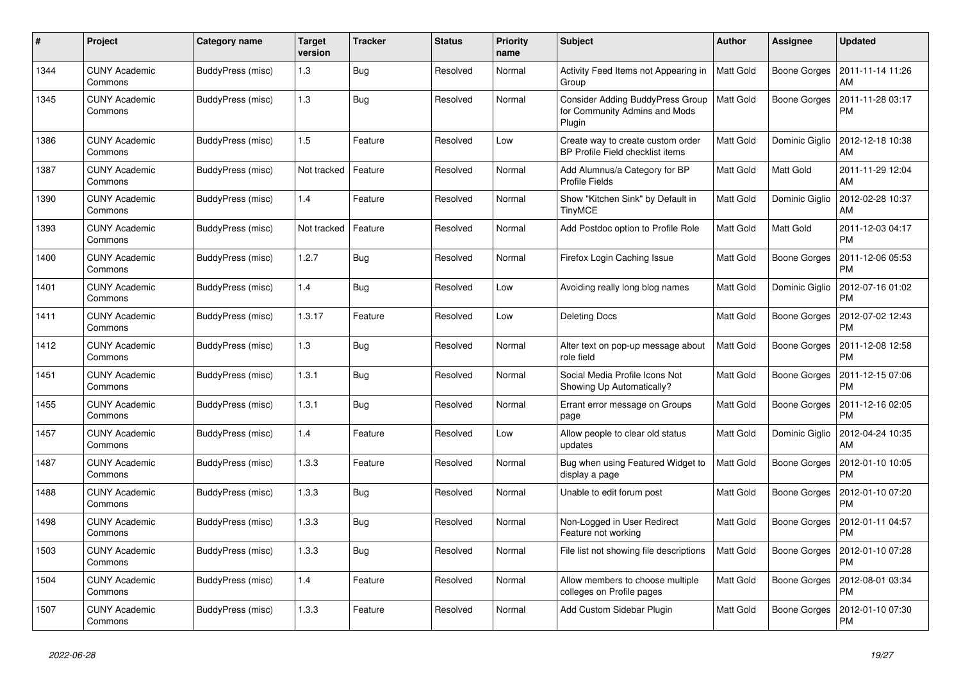| #    | Project                         | Category name     | <b>Target</b><br>version | <b>Tracker</b> | <b>Status</b> | <b>Priority</b><br>name | <b>Subject</b>                                                              | <b>Author</b>    | Assignee            | <b>Updated</b>                |
|------|---------------------------------|-------------------|--------------------------|----------------|---------------|-------------------------|-----------------------------------------------------------------------------|------------------|---------------------|-------------------------------|
| 1344 | <b>CUNY Academic</b><br>Commons | BuddyPress (misc) | 1.3                      | <b>Bug</b>     | Resolved      | Normal                  | Activity Feed Items not Appearing in<br>Group                               | <b>Matt Gold</b> | Boone Gorges        | 2011-11-14 11:26<br>AM        |
| 1345 | <b>CUNY Academic</b><br>Commons | BuddyPress (misc) | 1.3                      | <b>Bug</b>     | Resolved      | Normal                  | Consider Adding BuddyPress Group<br>for Community Admins and Mods<br>Plugin | <b>Matt Gold</b> | Boone Gorges        | 2011-11-28 03:17<br>РM        |
| 1386 | <b>CUNY Academic</b><br>Commons | BuddyPress (misc) | 1.5                      | Feature        | Resolved      | Low                     | Create way to create custom order<br>BP Profile Field checklist items       | Matt Gold        | Dominic Giglio      | 2012-12-18 10:38<br>AM        |
| 1387 | <b>CUNY Academic</b><br>Commons | BuddyPress (misc) | Not tracked              | Feature        | Resolved      | Normal                  | Add Alumnus/a Category for BP<br><b>Profile Fields</b>                      | Matt Gold        | <b>Matt Gold</b>    | 2011-11-29 12:04<br>AM        |
| 1390 | <b>CUNY Academic</b><br>Commons | BuddyPress (misc) | 1.4                      | Feature        | Resolved      | Normal                  | Show "Kitchen Sink" by Default in<br><b>TinyMCE</b>                         | Matt Gold        | Dominic Giglio      | 2012-02-28 10:37<br>AM        |
| 1393 | CUNY Academic<br>Commons        | BuddyPress (misc) | Not tracked              | Feature        | Resolved      | Normal                  | Add Postdoc option to Profile Role                                          | <b>Matt Gold</b> | <b>Matt Gold</b>    | 2011-12-03 04:17<br><b>PM</b> |
| 1400 | <b>CUNY Academic</b><br>Commons | BuddyPress (misc) | 1.2.7                    | <b>Bug</b>     | Resolved      | Normal                  | Firefox Login Caching Issue                                                 | Matt Gold        | Boone Gorges        | 2011-12-06 05:53<br><b>PM</b> |
| 1401 | <b>CUNY Academic</b><br>Commons | BuddyPress (misc) | 1.4                      | Bug            | Resolved      | Low                     | Avoiding really long blog names                                             | Matt Gold        | Dominic Giglio      | 2012-07-16 01:02<br><b>PM</b> |
| 1411 | <b>CUNY Academic</b><br>Commons | BuddyPress (misc) | 1.3.17                   | Feature        | Resolved      | Low                     | <b>Deleting Docs</b>                                                        | Matt Gold        | Boone Gorges        | 2012-07-02 12:43<br><b>PM</b> |
| 1412 | <b>CUNY Academic</b><br>Commons | BuddyPress (misc) | 1.3                      | <b>Bug</b>     | Resolved      | Normal                  | Alter text on pop-up message about<br>role field                            | <b>Matt Gold</b> | Boone Gorges        | 2011-12-08 12:58<br><b>PM</b> |
| 1451 | <b>CUNY Academic</b><br>Commons | BuddyPress (misc) | 1.3.1                    | Bug            | Resolved      | Normal                  | Social Media Profile Icons Not<br>Showing Up Automatically?                 | Matt Gold        | <b>Boone Gorges</b> | 2011-12-15 07:06<br><b>PM</b> |
| 1455 | <b>CUNY Academic</b><br>Commons | BuddyPress (misc) | 1.3.1                    | <b>Bug</b>     | Resolved      | Normal                  | Errant error message on Groups<br>page                                      | Matt Gold        | Boone Gorges        | 2011-12-16 02:05<br><b>PM</b> |
| 1457 | <b>CUNY Academic</b><br>Commons | BuddyPress (misc) | 1.4                      | Feature        | Resolved      | Low                     | Allow people to clear old status<br>updates                                 | Matt Gold        | Dominic Giglio      | 2012-04-24 10:35<br>AM        |
| 1487 | <b>CUNY Academic</b><br>Commons | BuddyPress (misc) | 1.3.3                    | Feature        | Resolved      | Normal                  | Bug when using Featured Widget to<br>display a page                         | Matt Gold        | Boone Gorges        | 2012-01-10 10:05<br><b>PM</b> |
| 1488 | <b>CUNY Academic</b><br>Commons | BuddyPress (misc) | 1.3.3                    | <b>Bug</b>     | Resolved      | Normal                  | Unable to edit forum post                                                   | Matt Gold        | Boone Gorges        | 2012-01-10 07:20<br><b>PM</b> |
| 1498 | <b>CUNY Academic</b><br>Commons | BuddyPress (misc) | 1.3.3                    | <b>Bug</b>     | Resolved      | Normal                  | Non-Logged in User Redirect<br>Feature not working                          | Matt Gold        | Boone Gorges        | 2012-01-11 04:57<br>РM        |
| 1503 | <b>CUNY Academic</b><br>Commons | BuddyPress (misc) | 1.3.3                    | Bug            | Resolved      | Normal                  | File list not showing file descriptions                                     | Matt Gold        | Boone Gorges        | 2012-01-10 07:28<br><b>PM</b> |
| 1504 | <b>CUNY Academic</b><br>Commons | BuddyPress (misc) | 1.4                      | Feature        | Resolved      | Normal                  | Allow members to choose multiple<br>colleges on Profile pages               | Matt Gold        | Boone Gorges        | 2012-08-01 03:34<br><b>PM</b> |
| 1507 | <b>CUNY Academic</b><br>Commons | BuddyPress (misc) | 1.3.3                    | Feature        | Resolved      | Normal                  | Add Custom Sidebar Plugin                                                   | Matt Gold        | Boone Gorges        | 2012-01-10 07:30<br>PM        |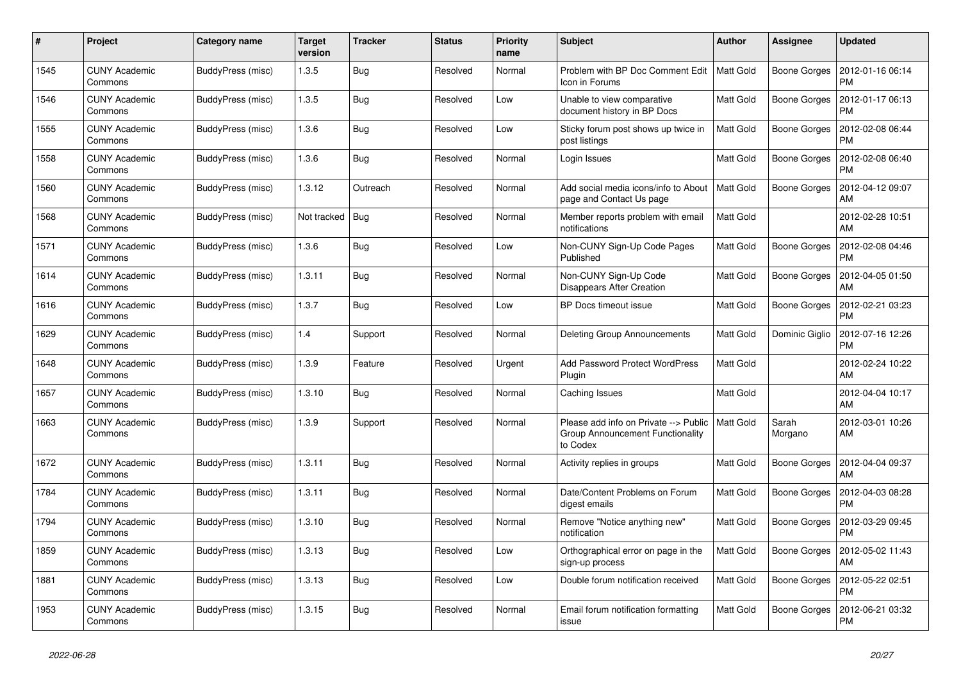| $\#$ | Project                         | Category name     | <b>Target</b><br>version | <b>Tracker</b> | Status   | <b>Priority</b><br>name | <b>Subject</b>                                                                        | <b>Author</b>    | Assignee            | <b>Updated</b>                |
|------|---------------------------------|-------------------|--------------------------|----------------|----------|-------------------------|---------------------------------------------------------------------------------------|------------------|---------------------|-------------------------------|
| 1545 | <b>CUNY Academic</b><br>Commons | BuddyPress (misc) | 1.3.5                    | Bug            | Resolved | Normal                  | Problem with BP Doc Comment Edit<br>Icon in Forums                                    | <b>Matt Gold</b> | Boone Gorges        | 2012-01-16 06:14<br><b>PM</b> |
| 1546 | <b>CUNY Academic</b><br>Commons | BuddyPress (misc) | 1.3.5                    | <b>Bug</b>     | Resolved | Low                     | Unable to view comparative<br>document history in BP Docs                             | Matt Gold        | <b>Boone Gorges</b> | 2012-01-17 06:13<br><b>PM</b> |
| 1555 | <b>CUNY Academic</b><br>Commons | BuddyPress (misc) | 1.3.6                    | <b>Bug</b>     | Resolved | Low                     | Sticky forum post shows up twice in<br>post listings                                  | Matt Gold        | Boone Gorges        | 2012-02-08 06:44<br><b>PM</b> |
| 1558 | <b>CUNY Academic</b><br>Commons | BuddyPress (misc) | 1.3.6                    | Bug            | Resolved | Normal                  | Login Issues                                                                          | <b>Matt Gold</b> | Boone Gorges        | 2012-02-08 06:40<br><b>PM</b> |
| 1560 | <b>CUNY Academic</b><br>Commons | BuddyPress (misc) | 1.3.12                   | Outreach       | Resolved | Normal                  | Add social media icons/info to About<br>page and Contact Us page                      | Matt Gold        | <b>Boone Gorges</b> | 2012-04-12 09:07<br>AM        |
| 1568 | <b>CUNY Academic</b><br>Commons | BuddyPress (misc) | Not tracked              | Bug            | Resolved | Normal                  | Member reports problem with email<br>notifications                                    | Matt Gold        |                     | 2012-02-28 10:51<br>AM        |
| 1571 | <b>CUNY Academic</b><br>Commons | BuddyPress (misc) | 1.3.6                    | Bug            | Resolved | Low                     | Non-CUNY Sign-Up Code Pages<br>Published                                              | Matt Gold        | Boone Gorges        | 2012-02-08 04:46<br><b>PM</b> |
| 1614 | <b>CUNY Academic</b><br>Commons | BuddyPress (misc) | 1.3.11                   | <b>Bug</b>     | Resolved | Normal                  | Non-CUNY Sign-Up Code<br><b>Disappears After Creation</b>                             | Matt Gold        | Boone Gorges        | 2012-04-05 01:50<br>AM        |
| 1616 | <b>CUNY Academic</b><br>Commons | BuddyPress (misc) | 1.3.7                    | Bug            | Resolved | Low                     | BP Docs timeout issue                                                                 | <b>Matt Gold</b> | <b>Boone Gorges</b> | 2012-02-21 03:23<br><b>PM</b> |
| 1629 | <b>CUNY Academic</b><br>Commons | BuddyPress (misc) | 1.4                      | Support        | Resolved | Normal                  | Deleting Group Announcements                                                          | <b>Matt Gold</b> | Dominic Giglio      | 2012-07-16 12:26<br><b>PM</b> |
| 1648 | <b>CUNY Academic</b><br>Commons | BuddyPress (misc) | 1.3.9                    | Feature        | Resolved | Urgent                  | <b>Add Password Protect WordPress</b><br>Plugin                                       | <b>Matt Gold</b> |                     | 2012-02-24 10:22<br>AM        |
| 1657 | <b>CUNY Academic</b><br>Commons | BuddyPress (misc) | 1.3.10                   | <b>Bug</b>     | Resolved | Normal                  | Caching Issues                                                                        | <b>Matt Gold</b> |                     | 2012-04-04 10:17<br>AM        |
| 1663 | <b>CUNY Academic</b><br>Commons | BuddyPress (misc) | 1.3.9                    | Support        | Resolved | Normal                  | Please add info on Private --> Public<br>Group Announcement Functionality<br>to Codex | Matt Gold        | Sarah<br>Morgano    | 2012-03-01 10:26<br>AM        |
| 1672 | <b>CUNY Academic</b><br>Commons | BuddyPress (misc) | 1.3.11                   | Bug            | Resolved | Normal                  | Activity replies in groups                                                            | Matt Gold        | Boone Gorges        | 2012-04-04 09:37<br>AM        |
| 1784 | <b>CUNY Academic</b><br>Commons | BuddyPress (misc) | 1.3.11                   | <b>Bug</b>     | Resolved | Normal                  | Date/Content Problems on Forum<br>digest emails                                       | <b>Matt Gold</b> | Boone Gorges        | 2012-04-03 08:28<br><b>PM</b> |
| 1794 | <b>CUNY Academic</b><br>Commons | BuddyPress (misc) | 1.3.10                   | <b>Bug</b>     | Resolved | Normal                  | Remove "Notice anything new"<br>notification                                          | Matt Gold        | <b>Boone Gorges</b> | 2012-03-29 09:45<br><b>PM</b> |
| 1859 | <b>CUNY Academic</b><br>Commons | BuddyPress (misc) | 1.3.13                   | <b>Bug</b>     | Resolved | Low                     | Orthographical error on page in the<br>sign-up process                                | <b>Matt Gold</b> | Boone Gorges        | 2012-05-02 11:43<br>AM        |
| 1881 | <b>CUNY Academic</b><br>Commons | BuddyPress (misc) | 1.3.13                   | Bug            | Resolved | Low                     | Double forum notification received                                                    | <b>Matt Gold</b> | Boone Gorges        | 2012-05-22 02:51<br><b>PM</b> |
| 1953 | <b>CUNY Academic</b><br>Commons | BuddyPress (misc) | 1.3.15                   | <b>Bug</b>     | Resolved | Normal                  | Email forum notification formatting<br>issue                                          | Matt Gold        | <b>Boone Gorges</b> | 2012-06-21 03:32<br><b>PM</b> |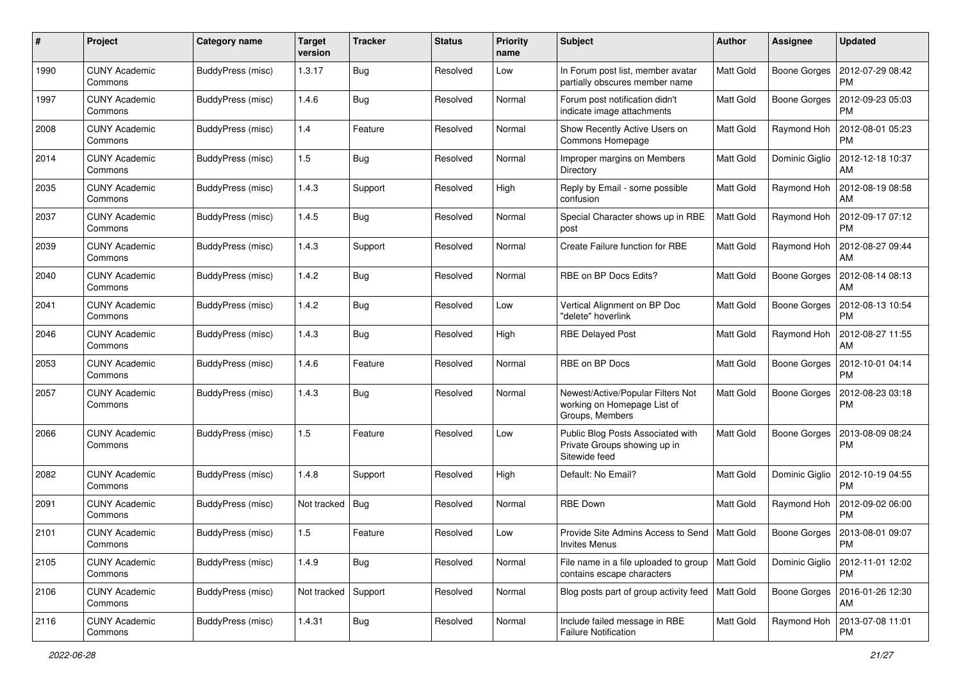| #    | Project                         | <b>Category name</b> | <b>Target</b><br>version | <b>Tracker</b> | <b>Status</b> | <b>Priority</b><br>name | Subject                                                                             | <b>Author</b>    | Assignee            | <b>Updated</b>                |
|------|---------------------------------|----------------------|--------------------------|----------------|---------------|-------------------------|-------------------------------------------------------------------------------------|------------------|---------------------|-------------------------------|
| 1990 | <b>CUNY Academic</b><br>Commons | BuddyPress (misc)    | 1.3.17                   | <b>Bug</b>     | Resolved      | Low                     | In Forum post list, member avatar<br>partially obscures member name                 | <b>Matt Gold</b> | <b>Boone Gorges</b> | 2012-07-29 08:42<br><b>PM</b> |
| 1997 | <b>CUNY Academic</b><br>Commons | BuddyPress (misc)    | 1.4.6                    | Bug            | Resolved      | Normal                  | Forum post notification didn't<br>indicate image attachments                        | Matt Gold        | Boone Gorges        | 2012-09-23 05:03<br><b>PM</b> |
| 2008 | <b>CUNY Academic</b><br>Commons | BuddyPress (misc)    | 1.4                      | Feature        | Resolved      | Normal                  | Show Recently Active Users on<br>Commons Homepage                                   | <b>Matt Gold</b> | Raymond Hoh         | 2012-08-01 05:23<br><b>PM</b> |
| 2014 | <b>CUNY Academic</b><br>Commons | BuddyPress (misc)    | 1.5                      | <b>Bug</b>     | Resolved      | Normal                  | Improper margins on Members<br>Directory                                            | <b>Matt Gold</b> | Dominic Giglio      | 2012-12-18 10:37<br>AM        |
| 2035 | <b>CUNY Academic</b><br>Commons | BuddyPress (misc)    | 1.4.3                    | Support        | Resolved      | High                    | Reply by Email - some possible<br>confusion                                         | Matt Gold        | Raymond Hoh         | 2012-08-19 08:58<br>AM        |
| 2037 | <b>CUNY Academic</b><br>Commons | BuddyPress (misc)    | 1.4.5                    | <b>Bug</b>     | Resolved      | Normal                  | Special Character shows up in RBE<br>post                                           | Matt Gold        | Raymond Hoh         | 2012-09-17 07:12<br><b>PM</b> |
| 2039 | <b>CUNY Academic</b><br>Commons | BuddyPress (misc)    | 1.4.3                    | Support        | Resolved      | Normal                  | Create Failure function for RBE                                                     | Matt Gold        | Raymond Hoh         | 2012-08-27 09:44<br>AM        |
| 2040 | <b>CUNY Academic</b><br>Commons | BuddyPress (misc)    | 1.4.2                    | <b>Bug</b>     | Resolved      | Normal                  | RBE on BP Docs Edits?                                                               | <b>Matt Gold</b> | <b>Boone Gorges</b> | 2012-08-14 08:13<br>AM        |
| 2041 | <b>CUNY Academic</b><br>Commons | BuddyPress (misc)    | 1.4.2                    | <b>Bug</b>     | Resolved      | Low                     | Vertical Alignment on BP Doc<br>'delete" hoverlink                                  | Matt Gold        | <b>Boone Gorges</b> | 2012-08-13 10:54<br><b>PM</b> |
| 2046 | <b>CUNY Academic</b><br>Commons | BuddyPress (misc)    | 1.4.3                    | <b>Bug</b>     | Resolved      | High                    | <b>RBE Delayed Post</b>                                                             | <b>Matt Gold</b> | Raymond Hoh         | 2012-08-27 11:55<br>AM        |
| 2053 | <b>CUNY Academic</b><br>Commons | BuddyPress (misc)    | 1.4.6                    | Feature        | Resolved      | Normal                  | RBE on BP Docs                                                                      | <b>Matt Gold</b> | <b>Boone Gorges</b> | 2012-10-01 04:14<br><b>PM</b> |
| 2057 | <b>CUNY Academic</b><br>Commons | BuddyPress (misc)    | 1.4.3                    | <b>Bug</b>     | Resolved      | Normal                  | Newest/Active/Popular Filters Not<br>working on Homepage List of<br>Groups, Members | Matt Gold        | <b>Boone Gorges</b> | 2012-08-23 03:18<br><b>PM</b> |
| 2066 | <b>CUNY Academic</b><br>Commons | BuddyPress (misc)    | 1.5                      | Feature        | Resolved      | Low                     | Public Blog Posts Associated with<br>Private Groups showing up in<br>Sitewide feed  | <b>Matt Gold</b> | <b>Boone Gorges</b> | 2013-08-09 08:24<br><b>PM</b> |
| 2082 | <b>CUNY Academic</b><br>Commons | BuddyPress (misc)    | 1.4.8                    | Support        | Resolved      | High                    | Default: No Email?                                                                  | <b>Matt Gold</b> | Dominic Giglio      | 2012-10-19 04:55<br><b>PM</b> |
| 2091 | <b>CUNY Academic</b><br>Commons | BuddyPress (misc)    | Not tracked              | Bug            | Resolved      | Normal                  | <b>RBE Down</b>                                                                     | Matt Gold        | Raymond Hoh         | 2012-09-02 06:00<br><b>PM</b> |
| 2101 | <b>CUNY Academic</b><br>∪ommons | BuddyPress (misc)    | 1.5                      | Feature        | Resolved      | Low                     | Provide Site Admins Access to Send   Matt Gold<br><b>Invites Menus</b>              |                  | Boone Gorges        | 2013-08-01 09:07<br>PM        |
| 2105 | <b>CUNY Academic</b><br>Commons | BuddyPress (misc)    | 1.4.9                    | <b>Bug</b>     | Resolved      | Normal                  | File name in a file uploaded to group<br>contains escape characters                 | <b>Matt Gold</b> | Dominic Giglio      | 2012-11-01 12:02<br><b>PM</b> |
| 2106 | <b>CUNY Academic</b><br>Commons | BuddyPress (misc)    | Not tracked              | Support        | Resolved      | Normal                  | Blog posts part of group activity feed   Matt Gold                                  |                  | Boone Gorges        | 2016-01-26 12:30<br>AM        |
| 2116 | <b>CUNY Academic</b><br>Commons | BuddyPress (misc)    | 1.4.31                   | <b>Bug</b>     | Resolved      | Normal                  | Include failed message in RBE<br><b>Failure Notification</b>                        | Matt Gold        | Raymond Hoh         | 2013-07-08 11:01<br>PM.       |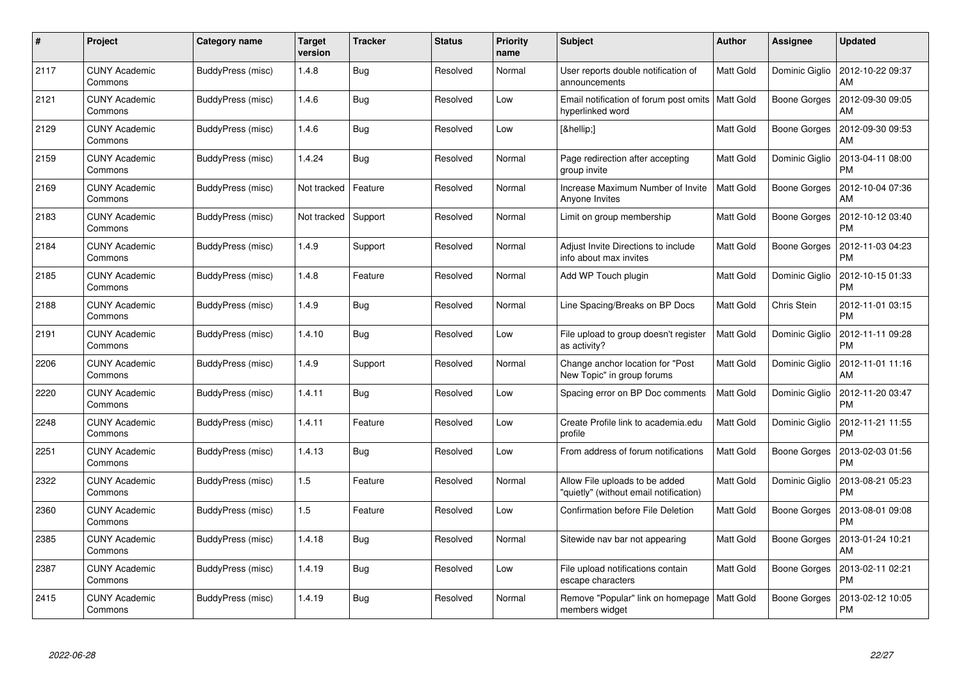| #    | Project                         | <b>Category name</b> | <b>Target</b><br>version | <b>Tracker</b> | <b>Status</b> | <b>Priority</b><br>name | <b>Subject</b>                                                           | <b>Author</b>    | Assignee            | <b>Updated</b>                |
|------|---------------------------------|----------------------|--------------------------|----------------|---------------|-------------------------|--------------------------------------------------------------------------|------------------|---------------------|-------------------------------|
| 2117 | <b>CUNY Academic</b><br>Commons | BuddyPress (misc)    | 1.4.8                    | <b>Bug</b>     | Resolved      | Normal                  | User reports double notification of<br>announcements                     | Matt Gold        | Dominic Giglio      | 2012-10-22 09:37<br>AM        |
| 2121 | <b>CUNY Academic</b><br>Commons | BuddyPress (misc)    | 1.4.6                    | <b>Bug</b>     | Resolved      | Low                     | Email notification of forum post omits<br>hyperlinked word               | Matt Gold        | <b>Boone Gorges</b> | 2012-09-30 09:05<br>AM        |
| 2129 | <b>CUNY Academic</b><br>Commons | BuddyPress (misc)    | 1.4.6                    | <b>Bug</b>     | Resolved      | Low                     | […]                                                                      | Matt Gold        | <b>Boone Gorges</b> | 2012-09-30 09:53<br>AM        |
| 2159 | <b>CUNY Academic</b><br>Commons | BuddyPress (misc)    | 1.4.24                   | <b>Bug</b>     | Resolved      | Normal                  | Page redirection after accepting<br>group invite                         | Matt Gold        | Dominic Giglio      | 2013-04-11 08:00<br><b>PM</b> |
| 2169 | <b>CUNY Academic</b><br>Commons | BuddyPress (misc)    | Not tracked              | Feature        | Resolved      | Normal                  | Increase Maximum Number of Invite<br>Anyone Invites                      | Matt Gold        | Boone Gorges        | 2012-10-04 07:36<br>AM        |
| 2183 | <b>CUNY Academic</b><br>Commons | BuddyPress (misc)    | Not tracked              | Support        | Resolved      | Normal                  | Limit on group membership                                                | Matt Gold        | <b>Boone Gorges</b> | 2012-10-12 03:40<br><b>PM</b> |
| 2184 | <b>CUNY Academic</b><br>Commons | BuddyPress (misc)    | 1.4.9                    | Support        | Resolved      | Normal                  | Adjust Invite Directions to include<br>info about max invites            | Matt Gold        | Boone Gorges        | 2012-11-03 04:23<br><b>PM</b> |
| 2185 | <b>CUNY Academic</b><br>Commons | BuddyPress (misc)    | 1.4.8                    | Feature        | Resolved      | Normal                  | Add WP Touch plugin                                                      | Matt Gold        | Dominic Giglio      | 2012-10-15 01:33<br><b>PM</b> |
| 2188 | <b>CUNY Academic</b><br>Commons | BuddyPress (misc)    | 1.4.9                    | <b>Bug</b>     | Resolved      | Normal                  | Line Spacing/Breaks on BP Docs                                           | <b>Matt Gold</b> | Chris Stein         | 2012-11-01 03:15<br><b>PM</b> |
| 2191 | <b>CUNY Academic</b><br>Commons | BuddyPress (misc)    | 1.4.10                   | <b>Bug</b>     | Resolved      | Low                     | File upload to group doesn't register<br>as activity?                    | <b>Matt Gold</b> | Dominic Giglio      | 2012-11-11 09:28<br><b>PM</b> |
| 2206 | <b>CUNY Academic</b><br>Commons | BuddyPress (misc)    | 1.4.9                    | Support        | Resolved      | Normal                  | Change anchor location for "Post<br>New Topic" in group forums           | Matt Gold        | Dominic Giglio      | 2012-11-01 11:16<br>AM        |
| 2220 | <b>CUNY Academic</b><br>Commons | BuddyPress (misc)    | 1.4.11                   | <b>Bug</b>     | Resolved      | Low                     | Spacing error on BP Doc comments                                         | <b>Matt Gold</b> | Dominic Giglio      | 2012-11-20 03:47<br><b>PM</b> |
| 2248 | <b>CUNY Academic</b><br>Commons | BuddyPress (misc)    | 1.4.11                   | Feature        | Resolved      | Low                     | Create Profile link to academia.edu<br>profile                           | <b>Matt Gold</b> | Dominic Giglio      | 2012-11-21 11:55<br><b>PM</b> |
| 2251 | <b>CUNY Academic</b><br>Commons | BuddyPress (misc)    | 1.4.13                   | Bug            | Resolved      | Low                     | From address of forum notifications                                      | <b>Matt Gold</b> | <b>Boone Gorges</b> | 2013-02-03 01:56<br><b>PM</b> |
| 2322 | <b>CUNY Academic</b><br>Commons | BuddyPress (misc)    | 1.5                      | Feature        | Resolved      | Normal                  | Allow File uploads to be added<br>"quietly" (without email notification) | Matt Gold        | Dominic Giglio      | 2013-08-21 05:23<br><b>PM</b> |
| 2360 | <b>CUNY Academic</b><br>Commons | BuddyPress (misc)    | 1.5                      | Feature        | Resolved      | Low                     | Confirmation before File Deletion                                        | Matt Gold        | Boone Gorges        | 2013-08-01 09:08<br><b>PM</b> |
| 2385 | <b>CUNY Academic</b><br>Commons | BuddyPress (misc)    | 1.4.18                   | <b>Bug</b>     | Resolved      | Normal                  | Sitewide nav bar not appearing                                           | Matt Gold        | Boone Gorges        | 2013-01-24 10:21<br>AM        |
| 2387 | <b>CUNY Academic</b><br>Commons | BuddyPress (misc)    | 1.4.19                   | <b>Bug</b>     | Resolved      | Low                     | File upload notifications contain<br>escape characters                   | Matt Gold        | <b>Boone Gorges</b> | 2013-02-11 02:21<br><b>PM</b> |
| 2415 | <b>CUNY Academic</b><br>Commons | BuddyPress (misc)    | 1.4.19                   | <b>Bug</b>     | Resolved      | Normal                  | Remove "Popular" link on homepage<br>members widget                      | <b>Matt Gold</b> | Boone Gorges        | 2013-02-12 10:05<br>PM        |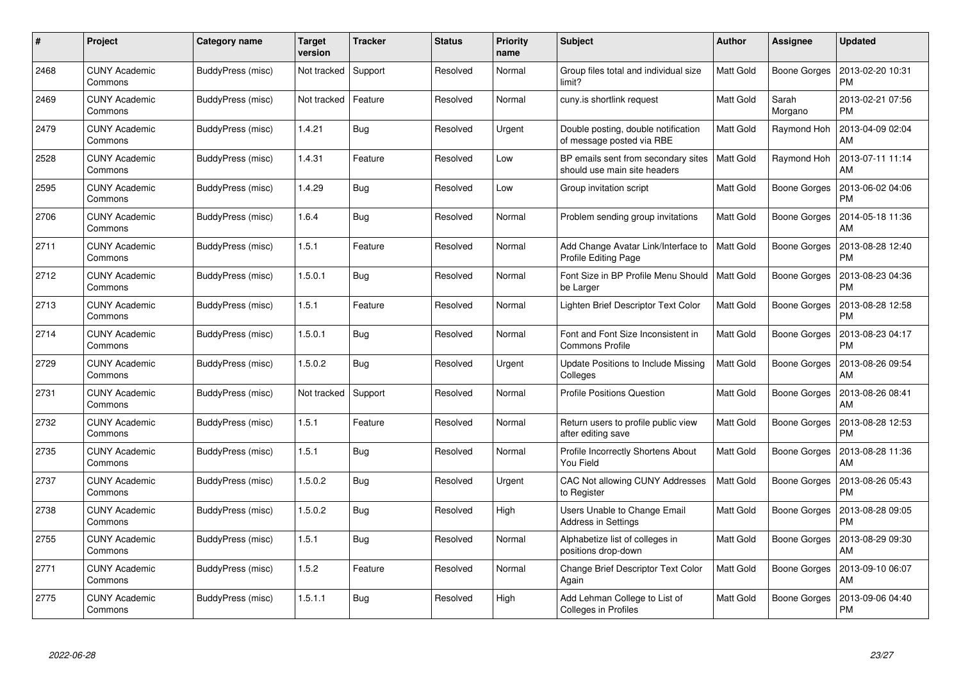| #    | Project                         | <b>Category name</b> | <b>Target</b><br>version | <b>Tracker</b> | <b>Status</b> | <b>Priority</b><br>name | <b>Subject</b>                                                      | <b>Author</b>    | <b>Assignee</b>     | <b>Updated</b>                |
|------|---------------------------------|----------------------|--------------------------|----------------|---------------|-------------------------|---------------------------------------------------------------------|------------------|---------------------|-------------------------------|
| 2468 | <b>CUNY Academic</b><br>Commons | BuddyPress (misc)    | Not tracked              | Support        | Resolved      | Normal                  | Group files total and individual size<br>limit?                     | <b>Matt Gold</b> | <b>Boone Gorges</b> | 2013-02-20 10:31<br><b>PM</b> |
| 2469 | <b>CUNY Academic</b><br>Commons | BuddyPress (misc)    | Not tracked              | Feature        | Resolved      | Normal                  | cuny.is shortlink request                                           | Matt Gold        | Sarah<br>Morgano    | 2013-02-21 07:56<br><b>PM</b> |
| 2479 | <b>CUNY Academic</b><br>Commons | BuddyPress (misc)    | 1.4.21                   | <b>Bug</b>     | Resolved      | Urgent                  | Double posting, double notification<br>of message posted via RBE    | <b>Matt Gold</b> | Raymond Hoh         | 2013-04-09 02:04<br>AM        |
| 2528 | <b>CUNY Academic</b><br>Commons | BuddyPress (misc)    | 1.4.31                   | Feature        | Resolved      | Low                     | BP emails sent from secondary sites<br>should use main site headers | <b>Matt Gold</b> | Raymond Hoh         | 2013-07-11 11:14<br>AM        |
| 2595 | <b>CUNY Academic</b><br>Commons | BuddyPress (misc)    | 1.4.29                   | <b>Bug</b>     | Resolved      | Low                     | Group invitation script                                             | Matt Gold        | Boone Gorges        | 2013-06-02 04:06<br><b>PM</b> |
| 2706 | <b>CUNY Academic</b><br>Commons | BuddyPress (misc)    | 1.6.4                    | Bug            | Resolved      | Normal                  | Problem sending group invitations                                   | Matt Gold        | Boone Gorges        | 2014-05-18 11:36<br>AM        |
| 2711 | <b>CUNY Academic</b><br>Commons | BuddyPress (misc)    | 1.5.1                    | Feature        | Resolved      | Normal                  | Add Change Avatar Link/Interface to<br>Profile Editing Page         | <b>Matt Gold</b> | <b>Boone Gorges</b> | 2013-08-28 12:40<br><b>PM</b> |
| 2712 | <b>CUNY Academic</b><br>Commons | BuddyPress (misc)    | 1.5.0.1                  | Bug            | Resolved      | Normal                  | Font Size in BP Profile Menu Should<br>be Larger                    | <b>Matt Gold</b> | Boone Gorges        | 2013-08-23 04:36<br><b>PM</b> |
| 2713 | <b>CUNY Academic</b><br>Commons | BuddyPress (misc)    | 1.5.1                    | Feature        | Resolved      | Normal                  | Lighten Brief Descriptor Text Color                                 | <b>Matt Gold</b> | <b>Boone Gorges</b> | 2013-08-28 12:58<br><b>PM</b> |
| 2714 | <b>CUNY Academic</b><br>Commons | BuddyPress (misc)    | 1.5.0.1                  | Bug            | Resolved      | Normal                  | Font and Font Size Inconsistent in<br><b>Commons Profile</b>        | Matt Gold        | Boone Gorges        | 2013-08-23 04:17<br><b>PM</b> |
| 2729 | <b>CUNY Academic</b><br>Commons | BuddyPress (misc)    | 1.5.0.2                  | <b>Bug</b>     | Resolved      | Urgent                  | Update Positions to Include Missing<br>Colleges                     | <b>Matt Gold</b> | <b>Boone Gorges</b> | 2013-08-26 09:54<br>AM        |
| 2731 | <b>CUNY Academic</b><br>Commons | BuddyPress (misc)    | Not tracked              | Support        | Resolved      | Normal                  | <b>Profile Positions Question</b>                                   | Matt Gold        | Boone Gorges        | 2013-08-26 08:41<br>AM        |
| 2732 | <b>CUNY Academic</b><br>Commons | BuddyPress (misc)    | 1.5.1                    | Feature        | Resolved      | Normal                  | Return users to profile public view<br>after editing save           | <b>Matt Gold</b> | Boone Gorges        | 2013-08-28 12:53<br><b>PM</b> |
| 2735 | <b>CUNY Academic</b><br>Commons | BuddyPress (misc)    | 1.5.1                    | <b>Bug</b>     | Resolved      | Normal                  | Profile Incorrectly Shortens About<br>You Field                     | Matt Gold        | <b>Boone Gorges</b> | 2013-08-28 11:36<br>AM        |
| 2737 | <b>CUNY Academic</b><br>Commons | BuddyPress (misc)    | 1.5.0.2                  | Bug            | Resolved      | Urgent                  | CAC Not allowing CUNY Addresses<br>to Register                      | Matt Gold        | Boone Gorges        | 2013-08-26 05:43<br><b>PM</b> |
| 2738 | <b>CUNY Academic</b><br>Commons | BuddyPress (misc)    | 1.5.0.2                  | Bug            | Resolved      | High                    | Users Unable to Change Email<br>Address in Settings                 | Matt Gold        | Boone Gorges        | 2013-08-28 09:05<br><b>PM</b> |
| 2755 | <b>CUNY Academic</b><br>Commons | BuddyPress (misc)    | 1.5.1                    | <b>Bug</b>     | Resolved      | Normal                  | Alphabetize list of colleges in<br>positions drop-down              | Matt Gold        | Boone Gorges        | 2013-08-29 09:30<br>AM        |
| 2771 | <b>CUNY Academic</b><br>Commons | BuddyPress (misc)    | 1.5.2                    | Feature        | Resolved      | Normal                  | Change Brief Descriptor Text Color<br>Again                         | Matt Gold        | <b>Boone Gorges</b> | 2013-09-10 06:07<br>AM        |
| 2775 | <b>CUNY Academic</b><br>Commons | BuddyPress (misc)    | 1.5.1.1                  | <b>Bug</b>     | Resolved      | High                    | Add Lehman College to List of<br>Colleges in Profiles               | Matt Gold        | Boone Gorges        | 2013-09-06 04:40<br>PM        |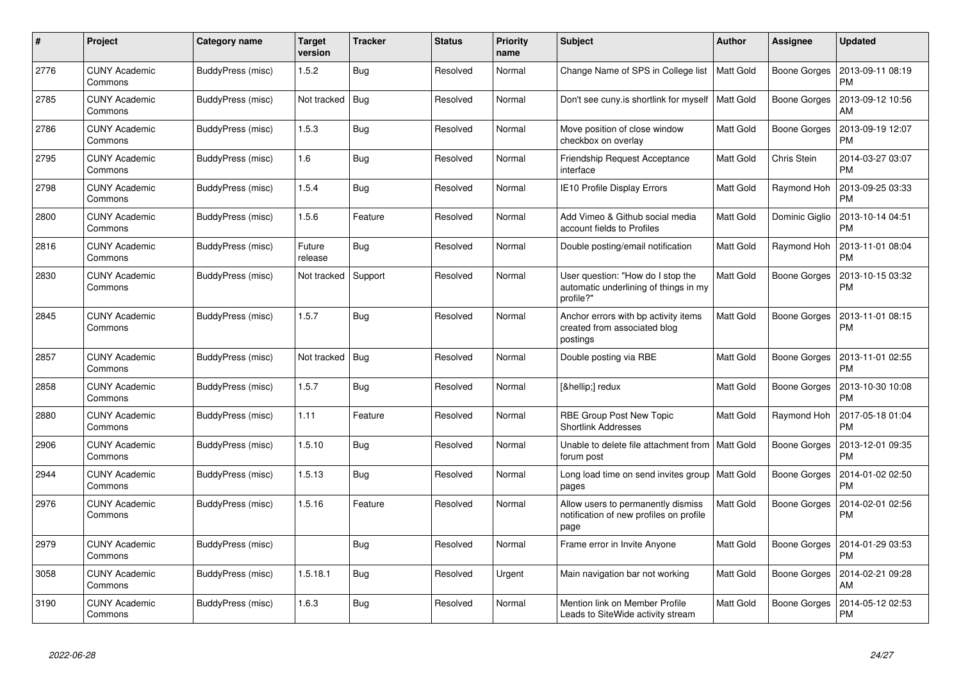| #    | Project                         | <b>Category name</b> | <b>Target</b><br>version | <b>Tracker</b> | <b>Status</b> | <b>Priority</b><br>name | <b>Subject</b>                                                                          | <b>Author</b>    | <b>Assignee</b> | <b>Updated</b>                |
|------|---------------------------------|----------------------|--------------------------|----------------|---------------|-------------------------|-----------------------------------------------------------------------------------------|------------------|-----------------|-------------------------------|
| 2776 | <b>CUNY Academic</b><br>Commons | BuddyPress (misc)    | 1.5.2                    | Bug            | Resolved      | Normal                  | Change Name of SPS in College list                                                      | <b>Matt Gold</b> | Boone Gorges    | 2013-09-11 08:19<br><b>PM</b> |
| 2785 | <b>CUNY Academic</b><br>Commons | BuddyPress (misc)    | Not tracked              | Bug            | Resolved      | Normal                  | Don't see cuny is shortlink for myself                                                  | <b>Matt Gold</b> | Boone Gorges    | 2013-09-12 10:56<br>AM        |
| 2786 | <b>CUNY Academic</b><br>Commons | BuddyPress (misc)    | 1.5.3                    | Bug            | Resolved      | Normal                  | Move position of close window<br>checkbox on overlay                                    | Matt Gold        | Boone Gorges    | 2013-09-19 12:07<br><b>PM</b> |
| 2795 | <b>CUNY Academic</b><br>Commons | BuddyPress (misc)    | 1.6                      | <b>Bug</b>     | Resolved      | Normal                  | Friendship Request Acceptance<br>interface                                              | Matt Gold        | Chris Stein     | 2014-03-27 03:07<br><b>PM</b> |
| 2798 | <b>CUNY Academic</b><br>Commons | BuddyPress (misc)    | 1.5.4                    | Bug            | Resolved      | Normal                  | IE10 Profile Display Errors                                                             | Matt Gold        | Raymond Hoh     | 2013-09-25 03:33<br><b>PM</b> |
| 2800 | <b>CUNY Academic</b><br>Commons | BuddyPress (misc)    | 1.5.6                    | Feature        | Resolved      | Normal                  | Add Vimeo & Github social media<br>account fields to Profiles                           | Matt Gold        | Dominic Giglio  | 2013-10-14 04:51<br><b>PM</b> |
| 2816 | <b>CUNY Academic</b><br>Commons | BuddyPress (misc)    | Future<br>release        | Bug            | Resolved      | Normal                  | Double posting/email notification                                                       | Matt Gold        | Raymond Hoh     | 2013-11-01 08:04<br><b>PM</b> |
| 2830 | <b>CUNY Academic</b><br>Commons | BuddyPress (misc)    | Not tracked              | Support        | Resolved      | Normal                  | User question: "How do I stop the<br>automatic underlining of things in my<br>profile?" | Matt Gold        | Boone Gorges    | 2013-10-15 03:32<br><b>PM</b> |
| 2845 | <b>CUNY Academic</b><br>Commons | BuddyPress (misc)    | 1.5.7                    | <b>Bug</b>     | Resolved      | Normal                  | Anchor errors with bp activity items<br>created from associated blog<br>postings        | <b>Matt Gold</b> | Boone Gorges    | 2013-11-01 08:15<br><b>PM</b> |
| 2857 | <b>CUNY Academic</b><br>Commons | BuddyPress (misc)    | Not tracked              | Bug            | Resolved      | Normal                  | Double posting via RBE                                                                  | Matt Gold        | Boone Gorges    | 2013-11-01 02:55<br><b>PM</b> |
| 2858 | <b>CUNY Academic</b><br>Commons | BuddyPress (misc)    | 1.5.7                    | Bug            | Resolved      | Normal                  | […] redux                                                                               | Matt Gold        | Boone Gorges    | 2013-10-30 10:08<br><b>PM</b> |
| 2880 | <b>CUNY Academic</b><br>Commons | BuddyPress (misc)    | 1.11                     | Feature        | Resolved      | Normal                  | RBE Group Post New Topic<br><b>Shortlink Addresses</b>                                  | Matt Gold        | Raymond Hoh     | 2017-05-18 01:04<br><b>PM</b> |
| 2906 | <b>CUNY Academic</b><br>Commons | BuddyPress (misc)    | 1.5.10                   | <b>Bug</b>     | Resolved      | Normal                  | Unable to delete file attachment from<br>forum post                                     | <b>Matt Gold</b> | Boone Gorges    | 2013-12-01 09:35<br><b>PM</b> |
| 2944 | <b>CUNY Academic</b><br>Commons | BuddyPress (misc)    | 1.5.13                   | Bug            | Resolved      | Normal                  | Long load time on send invites group<br>pages                                           | <b>Matt Gold</b> | Boone Gorges    | 2014-01-02 02:50<br><b>PM</b> |
| 2976 | <b>CUNY Academic</b><br>Commons | BuddyPress (misc)    | 1.5.16                   | Feature        | Resolved      | Normal                  | Allow users to permanently dismiss<br>notification of new profiles on profile<br>page   | Matt Gold        | Boone Gorges    | 2014-02-01 02:56<br><b>PM</b> |
| 2979 | <b>CUNY Academic</b><br>Commons | BuddyPress (misc)    |                          | Bug            | Resolved      | Normal                  | Frame error in Invite Anyone                                                            | Matt Gold        | Boone Gorges    | 2014-01-29 03:53<br><b>PM</b> |
| 3058 | <b>CUNY Academic</b><br>Commons | BuddyPress (misc)    | 1.5.18.1                 | Bug            | Resolved      | Urgent                  | Main navigation bar not working                                                         | Matt Gold        | Boone Gorges    | 2014-02-21 09:28<br>AM        |
| 3190 | <b>CUNY Academic</b><br>Commons | BuddyPress (misc)    | 1.6.3                    | <b>Bug</b>     | Resolved      | Normal                  | Mention link on Member Profile<br>Leads to SiteWide activity stream                     | Matt Gold        | Boone Gorges    | 2014-05-12 02:53<br><b>PM</b> |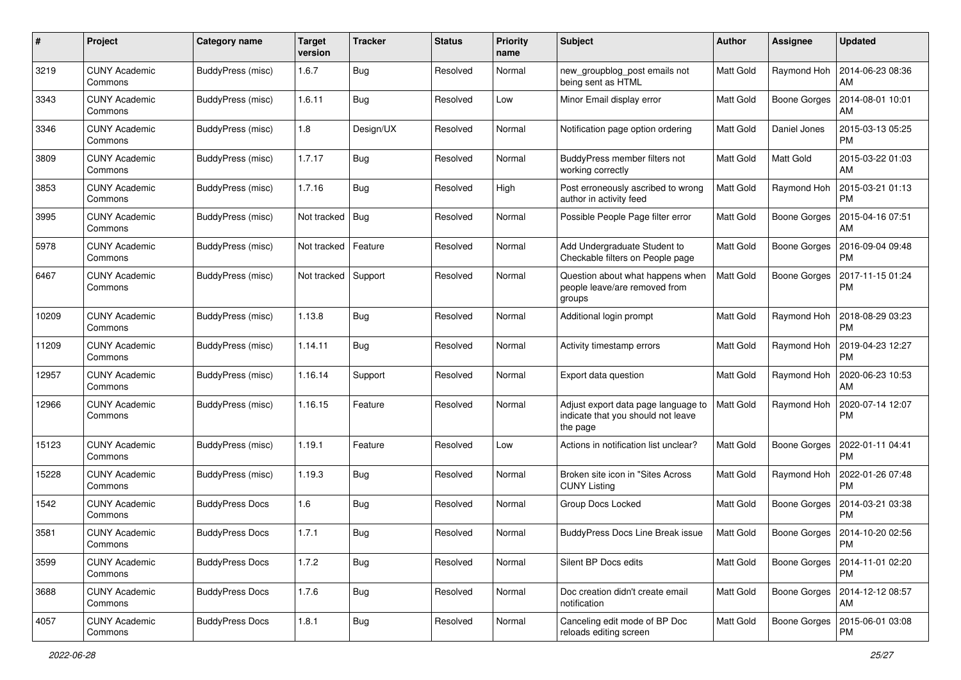| #     | Project                         | <b>Category name</b>   | Target<br>version | <b>Tracker</b> | <b>Status</b> | <b>Priority</b><br>name | <b>Subject</b>                                                                        | <b>Author</b>    | <b>Assignee</b>     | <b>Updated</b>                        |
|-------|---------------------------------|------------------------|-------------------|----------------|---------------|-------------------------|---------------------------------------------------------------------------------------|------------------|---------------------|---------------------------------------|
| 3219  | <b>CUNY Academic</b><br>Commons | BuddyPress (misc)      | 1.6.7             | <b>Bug</b>     | Resolved      | Normal                  | new_groupblog_post emails not<br>being sent as HTML                                   | Matt Gold        | Raymond Hoh         | 2014-06-23 08:36<br>AM                |
| 3343  | <b>CUNY Academic</b><br>Commons | BuddyPress (misc)      | 1.6.11            | Bug            | Resolved      | Low                     | Minor Email display error                                                             | Matt Gold        | Boone Gorges        | 2014-08-01 10:01<br>AM                |
| 3346  | CUNY Academic<br>Commons        | BuddyPress (misc)      | $1.8\,$           | Design/UX      | Resolved      | Normal                  | Notification page option ordering                                                     | Matt Gold        | Daniel Jones        | 2015-03-13 05:25<br><b>PM</b>         |
| 3809  | <b>CUNY Academic</b><br>Commons | BuddyPress (misc)      | 1.7.17            | <b>Bug</b>     | Resolved      | Normal                  | BuddyPress member filters not<br>working correctly                                    | <b>Matt Gold</b> | <b>Matt Gold</b>    | 2015-03-22 01:03<br>AM                |
| 3853  | <b>CUNY Academic</b><br>Commons | BuddyPress (misc)      | 1.7.16            | <b>Bug</b>     | Resolved      | High                    | Post erroneously ascribed to wrong<br>author in activity feed                         | <b>Matt Gold</b> | Raymond Hoh         | 2015-03-21 01:13<br><b>PM</b>         |
| 3995  | <b>CUNY Academic</b><br>Commons | BuddyPress (misc)      | Not tracked       | <b>Bug</b>     | Resolved      | Normal                  | Possible People Page filter error                                                     | Matt Gold        | Boone Gorges        | 2015-04-16 07:51<br>AM                |
| 5978  | <b>CUNY Academic</b><br>Commons | BuddyPress (misc)      | Not tracked       | Feature        | Resolved      | Normal                  | Add Undergraduate Student to<br>Checkable filters on People page                      | Matt Gold        | <b>Boone Gorges</b> | 2016-09-04 09:48<br>РM                |
| 6467  | <b>CUNY Academic</b><br>Commons | BuddyPress (misc)      | Not tracked       | Support        | Resolved      | Normal                  | Question about what happens when<br>people leave/are removed from<br>groups           | <b>Matt Gold</b> | Boone Gorges        | 2017-11-15 01:24<br><b>PM</b>         |
| 10209 | <b>CUNY Academic</b><br>Commons | BuddyPress (misc)      | 1.13.8            | <b>Bug</b>     | Resolved      | Normal                  | Additional login prompt                                                               | Matt Gold        | Raymond Hoh         | 2018-08-29 03:23<br>РM                |
| 11209 | <b>CUNY Academic</b><br>Commons | BuddyPress (misc)      | 1.14.11           | Bug            | Resolved      | Normal                  | Activity timestamp errors                                                             | Matt Gold        | Raymond Hoh         | 2019-04-23 12:27<br><b>PM</b>         |
| 12957 | <b>CUNY Academic</b><br>Commons | BuddyPress (misc)      | 1.16.14           | Support        | Resolved      | Normal                  | Export data question                                                                  | <b>Matt Gold</b> | Raymond Hoh         | 2020-06-23 10:53<br>AM                |
| 12966 | <b>CUNY Academic</b><br>Commons | BuddyPress (misc)      | 1.16.15           | Feature        | Resolved      | Normal                  | Adjust export data page language to<br>indicate that you should not leave<br>the page | <b>Matt Gold</b> | Raymond Hoh         | 2020-07-14 12:07<br><b>PM</b>         |
| 15123 | <b>CUNY Academic</b><br>Commons | BuddyPress (misc)      | 1.19.1            | Feature        | Resolved      | Low                     | Actions in notification list unclear?                                                 | Matt Gold        | Boone Gorges        | 2022-01-11 04:41<br><b>PM</b>         |
| 15228 | <b>CUNY Academic</b><br>Commons | BuddyPress (misc)      | 1.19.3            | <b>Bug</b>     | Resolved      | Normal                  | Broken site icon in "Sites Across<br><b>CUNY Listing</b>                              | Matt Gold        | Raymond Hoh         | 2022-01-26 07:48<br><b>PM</b>         |
| 1542  | <b>CUNY Academic</b><br>Commons | <b>BuddyPress Docs</b> | 1.6               | Bug            | Resolved      | Normal                  | Group Docs Locked                                                                     | Matt Gold        | Boone Gorges        | 2014-03-21 03:38<br><b>PM</b>         |
| 3581  | <b>CUNY Academic</b><br>Commons | <b>BuddyPress Docs</b> | 1.7.1             | Bug            | Resolved      | Normal                  | <b>BuddyPress Docs Line Break issue</b>                                               | Matt Gold        | Boone Gorges        | 2014-10-20 02:56<br>PM                |
| 3599  | <b>CUNY Academic</b><br>Commons | <b>BuddyPress Docs</b> | 1.7.2             | <b>Bug</b>     | Resolved      | Normal                  | Silent BP Docs edits                                                                  | Matt Gold        | Boone Gorges        | 2014-11-01 02:20<br><b>PM</b>         |
| 3688  | <b>CUNY Academic</b><br>Commons | <b>BuddyPress Docs</b> | 1.7.6             | <b>Bug</b>     | Resolved      | Normal                  | Doc creation didn't create email<br>notification                                      | Matt Gold        |                     | Boone Gorges   2014-12-12 08:57<br>AM |
| 4057  | <b>CUNY Academic</b><br>Commons | <b>BuddyPress Docs</b> | 1.8.1             | <b>Bug</b>     | Resolved      | Normal                  | Canceling edit mode of BP Doc<br>reloads editing screen                               | Matt Gold        | Boone Gorges        | 2015-06-01 03:08<br><b>PM</b>         |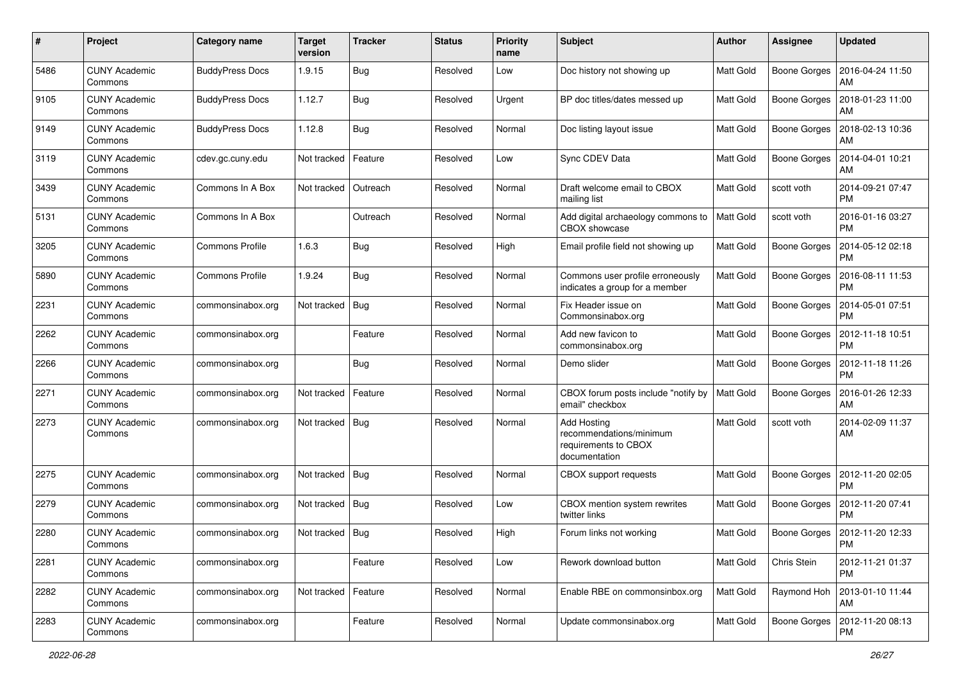| #    | Project                         | Category name          | Target<br>version | <b>Tracker</b> | <b>Status</b> | <b>Priority</b><br>name | Subject                                                                         | <b>Author</b>    | Assignee            | <b>Updated</b>                |
|------|---------------------------------|------------------------|-------------------|----------------|---------------|-------------------------|---------------------------------------------------------------------------------|------------------|---------------------|-------------------------------|
| 5486 | <b>CUNY Academic</b><br>Commons | <b>BuddyPress Docs</b> | 1.9.15            | Bug            | Resolved      | Low                     | Doc history not showing up                                                      | <b>Matt Gold</b> | Boone Gorges        | 2016-04-24 11:50<br>AM        |
| 9105 | <b>CUNY Academic</b><br>Commons | <b>BuddyPress Docs</b> | 1.12.7            | Bug            | Resolved      | Urgent                  | BP doc titles/dates messed up                                                   | <b>Matt Gold</b> | Boone Gorges        | 2018-01-23 11:00<br>AM        |
| 9149 | CUNY Academic<br>Commons        | <b>BuddyPress Docs</b> | 1.12.8            | <b>Bug</b>     | Resolved      | Normal                  | Doc listing layout issue                                                        | Matt Gold        | <b>Boone Gorges</b> | 2018-02-13 10:36<br>AM        |
| 3119 | <b>CUNY Academic</b><br>Commons | cdev.gc.cuny.edu       | Not tracked       | Feature        | Resolved      | Low                     | Sync CDEV Data                                                                  | <b>Matt Gold</b> | <b>Boone Gorges</b> | 2014-04-01 10:21<br>AM        |
| 3439 | <b>CUNY Academic</b><br>Commons | Commons In A Box       | Not tracked       | Outreach       | Resolved      | Normal                  | Draft welcome email to CBOX<br>mailing list                                     | <b>Matt Gold</b> | scott voth          | 2014-09-21 07:47<br><b>PM</b> |
| 5131 | <b>CUNY Academic</b><br>Commons | Commons In A Box       |                   | Outreach       | Resolved      | Normal                  | Add digital archaeology commons to<br>CBOX showcase                             | <b>Matt Gold</b> | scott voth          | 2016-01-16 03:27<br><b>PM</b> |
| 3205 | <b>CUNY Academic</b><br>Commons | <b>Commons Profile</b> | 1.6.3             | Bug            | Resolved      | High                    | Email profile field not showing up                                              | Matt Gold        | <b>Boone Gorges</b> | 2014-05-12 02:18<br>РM        |
| 5890 | <b>CUNY Academic</b><br>Commons | <b>Commons Profile</b> | 1.9.24            | <b>Bug</b>     | Resolved      | Normal                  | Commons user profile erroneously<br>indicates a group for a member              | <b>Matt Gold</b> | <b>Boone Gorges</b> | 2016-08-11 11:53<br>РM        |
| 2231 | <b>CUNY Academic</b><br>Commons | commonsinabox.org      | Not tracked       | <b>Bug</b>     | Resolved      | Normal                  | Fix Header issue on<br>Commonsinabox.org                                        | Matt Gold        | Boone Gorges        | 2014-05-01 07:51<br><b>PM</b> |
| 2262 | CUNY Academic<br>Commons        | commonsinabox.org      |                   | Feature        | Resolved      | Normal                  | Add new favicon to<br>commonsinabox.org                                         | Matt Gold        | <b>Boone Gorges</b> | 2012-11-18 10:51<br><b>PM</b> |
| 2266 | <b>CUNY Academic</b><br>Commons | commonsinabox.org      |                   | Bug            | Resolved      | Normal                  | Demo slider                                                                     | Matt Gold        | <b>Boone Gorges</b> | 2012-11-18 11:26<br><b>PM</b> |
| 2271 | <b>CUNY Academic</b><br>Commons | commonsinabox.org      | Not tracked       | Feature        | Resolved      | Normal                  | CBOX forum posts include "notify by<br>email" checkbox                          | Matt Gold        | Boone Gorges        | 2016-01-26 12:33<br>AM        |
| 2273 | <b>CUNY Academic</b><br>Commons | commonsinabox.org      | Not tracked       | Bug            | Resolved      | Normal                  | Add Hosting<br>recommendations/minimum<br>requirements to CBOX<br>documentation | Matt Gold        | scott voth          | 2014-02-09 11:37<br>AM        |
| 2275 | <b>CUNY Academic</b><br>Commons | commonsinabox.org      | Not tracked       | Bug            | Resolved      | Normal                  | CBOX support requests                                                           | <b>Matt Gold</b> | Boone Gorges        | 2012-11-20 02:05<br><b>PM</b> |
| 2279 | <b>CUNY Academic</b><br>Commons | commonsinabox.org      | Not tracked       | Bug            | Resolved      | Low                     | CBOX mention system rewrites<br>twitter links                                   | Matt Gold        | Boone Gorges        | 2012-11-20 07:41<br><b>PM</b> |
| 2280 | <b>CUNY Academic</b><br>Commons | commonsinabox.org      | Not tracked       | Bug            | Resolved      | High                    | Forum links not working                                                         | <b>Matt Gold</b> | Boone Gorges        | 2012-11-20 12:33<br>PM        |
| 2281 | <b>CUNY Academic</b><br>Commons | commonsinabox.org      |                   | Feature        | Resolved      | Low                     | Rework download button                                                          | <b>Matt Gold</b> | Chris Stein         | 2012-11-21 01:37<br>PM        |
| 2282 | <b>CUNY Academic</b><br>Commons | commonsinabox.org      | Not tracked       | Feature        | Resolved      | Normal                  | Enable RBE on commonsinbox.org                                                  | Matt Gold        | Raymond Hoh         | 2013-01-10 11:44<br>AM        |
| 2283 | <b>CUNY Academic</b><br>Commons | commonsinabox.org      |                   | Feature        | Resolved      | Normal                  | Update commonsinabox.org                                                        | Matt Gold        | Boone Gorges        | 2012-11-20 08:13<br>PM        |